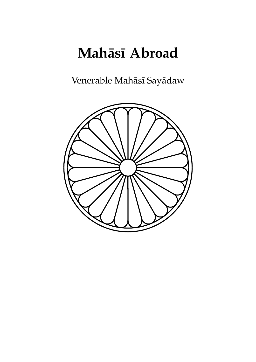# **Mahāsī Abroad**

Venerable Mahāsī Sayādaw

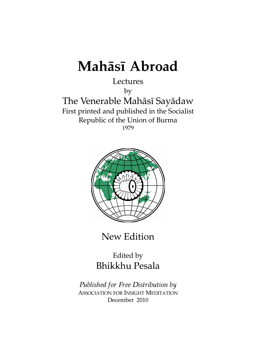# **Mahāsī Abroad**

## Lectures

by

The Venerable Mahāsī Sayādaw First printed and published in the Socialist Republic of the Union of Burma 1979



New Edition

Edited by Bhikkhu Pesala

*Published for Free Distribution by* ASSOCIATION FOR INSIGHT MEDITATION December 2010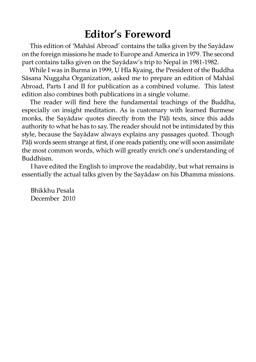# **Editor's Foreword**

This edition of 'Mahāsī Abroad' contains the talks given by the Sayādaw on the foreign missions he made to Europe and America in 1979. The second part contains talks given on the Sayādaw's trip to Nepal in 1981-1982.

While I was in Burma in 1999, U Hla Kyaing, the President of the Buddha Sāsana Nuggaha Organization, asked me to prepare an edition of Mahāsī Abroad, Parts I and II for publication as a combined volume. This latest edition also combines both publications in a single volume.

The reader will find here the fundamental teachings of the Buddha, especially on insight meditation. As is customary with learned Burmese monks, the Sayādaw quotes directly from the Pāli texts, since this adds authority to what he has to say. The reader should not be intimidated by this style, because the Sayādaw always explains any passages quoted. Though Pāli words seem strange at first, if one reads patiently, one will soon assimilate the most common words, which will greatly enrich one's understanding of Buddhism.

I have edited the English to improve the readability, but what remains is essentially the actual talks given by the Sayādaw on his Dhamma missions.

Bhikkhu Pesala December 2010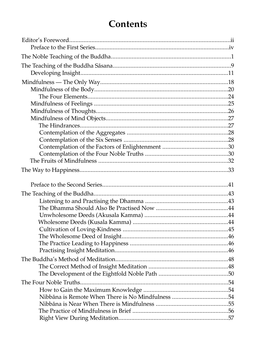# **Contents**

| Nibbāna is Remote When There is No Mindfulness 54 |  |
|---------------------------------------------------|--|
|                                                   |  |
|                                                   |  |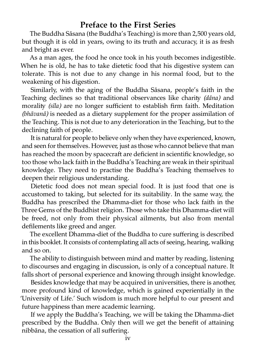### **Preface to the First Series**

The Buddha Sāsana (the Buddha's Teaching) is more than 2,500 years old, but though it is old in years, owing to its truth and accuracy, it is as fresh and bright as ever.

As a man ages, the food he once took in his youth becomes indigestible. When he is old, he has to take dietetic food that his digestive system can tolerate. This is not due to any change in his normal food, but to the weakening of his digestion.

Similarly, with the aging of the Buddha Sāsana, people's faith in the Teaching declines so that traditional observances like charity (dāna) and morality *(sīla)* are no longer sufficient to establish firm faith. Meditation *(bhāvanā)* is needed as a dietary supplement for the proper assimilation of the Teaching. This is not due to any deterioration in the Teaching, but to the declining faith of people.

It is natural for people to believe only when they have experienced, known, and seen for themselves. However, just as those who cannot believe that man has reached the moon by spacecraft are deficient in scientific knowledge, so too those who lack faith in the Buddha's Teaching are weak in their spiritual knowledge. They need to practise the Buddha's Teaching themselves to deepen their religious understanding.

Dietetic food does not mean special food. It is just food that one is accustomed to taking, but selected for its suitability. In the same way, the Buddha has prescribed the Dhamma-diet for those who lack faith in the Three Gems of the Buddhist religion. Those who take this Dhamma-diet will be freed, not only from their physical ailments, but also from mental defilements like greed and anger.

The excellent Dhamma-diet of the Buddha to cure suffering is described in this booklet. It consists of contemplating all acts of seeing, hearing, walking and so on.

The ability to distinguish between mind and matter by reading, listening to discourses and engaging in discussion, is only of a conceptual nature. It falls short of personal experience and knowing through insight knowledge.

Besides knowledge that may be acquired in universities, there is another, more profound kind of knowledge, which is gained experientially in the 'University of Life.' Such wisdom is much more helpful to our present and future happiness than mere academic learning.

If we apply the Buddha's Teaching, we will be taking the Dhamma-diet prescribed by the Buddha. Only then will we get the benefit of attaining nibbāna, the cessation of all suffering.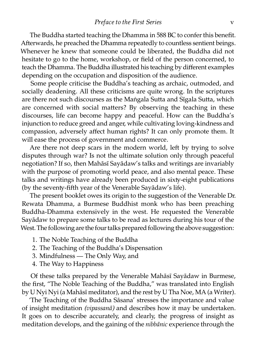The Buddha started teaching the Dhamma in 588 BC to confer this benefit. Afterwards, he preached the Dhamma repeatedly to countless sentient beings. Whenever he knew that someone could be liberated, the Buddha did not hesitate to go to the home, workshop, or field of the person concerned, to teach the Dhamma. The Buddha illustrated his teaching by different examples depending on the occupation and disposition of the audience.

Some people criticise the Buddha's teaching as archaic, outmoded, and socially deadening. All these criticisms are quite wrong. In the scriptures are there not such discourses as the Maṅgala Sutta and Sīgala Sutta, which are concerned with social matters? By observing the teaching in these discourses, life can become happy and peaceful. How can the Buddha's injunction to reduce greed and anger, while cultivating loving-kindness and compassion, adversely affect human rights? It can only promote them. It will ease the process of government and commerce.

Are there not deep scars in the modern world, left by trying to solve disputes through war? Is not the ultimate solution only through peaceful negotiation? If so, then Mahāsī Sayādaw's talks and writings are invariably with the purpose of promoting world peace, and also mental peace. These talks and writings have already been produced in sixty-eight publications (by the seventy-fifth year of the Venerable Sayādaw's life).

The present booklet owes its origin to the suggestion of the Venerable Dr. Rewata Dhamma, a Burmese Buddhist monk who has been preaching Buddha-Dhamma extensively in the west. He requested the Venerable Sayādaw to prepare some talks to be read as lectures during his tour of the West. The following are the four talks prepared following the above suggestion:

- 1. The Noble Teaching of the Buddha
- 2. The Teaching of the Buddha's Dispensation
- 3. Mindfulness The Only Way, and
- 4. The Way to Happiness

Of these talks prepared by the Venerable Mahāsī Sayādaw in Burmese, the first, "The Noble Teaching of the Buddha," was translated into English by U Nyi Nyi (a Mahāsī meditator), and the rest by U Tha Noe, MA (a Writer).

'The Teaching of the Buddha Sāsana' stresses the importance and value of insight meditation *(vipassanā)* and describes how it may be undertaken. It goes on to describe accurately, and clearly, the progress of insight as meditation develops, and the gaining of the *nibbānic* experience through the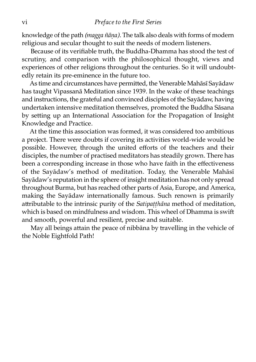knowledge of the path *(magga ñāṇa).* The talk also deals with forms of modern religious and secular thought to suit the needs of modern listeners.

Because of its verifiable truth, the Buddha-Dhamma has stood the test of scrutiny, and comparison with the philosophical thought, views and experiences of other religions throughout the centuries. So it will undoubtedly retain its pre-eminence in the future too.

As time and circumstances have permitted, the Venerable Mahāsī Sayādaw has taught Vipassanā Meditation since 1939. In the wake of these teachings and instructions, the grateful and convinced disciples of the Savādaw, having undertaken intensive meditation themselves, promoted the Buddha Sāsana by setting up an International Association for the Propagation of Insight Knowledge and Practice.

At the time this association was formed, it was considered too ambitious a project. There were doubts if covering its activities world-wide would be possible. However, through the united efforts of the teachers and their disciples, the number of practised meditators has steadily grown. There has been a corresponding increase in those who have faith in the effectiveness of the Sayādaw's method of meditation. Today, the Venerable Mahāsī Sayādaw's reputation in the sphere of insight meditation has not only spread throughout Burma, but has reached other parts of Asia, Europe, and America, making the Sayādaw internationally famous. Such renown is primarily attributable to the intrinsic purity of the *Satipatthāna* method of meditation, which is based on mindfulness and wisdom. This wheel of Dhamma is swi and smooth, powerful and resilient, precise and suitable.

May all beings attain the peace of nibbāna by travelling in the vehicle of the Noble Eightfold Path!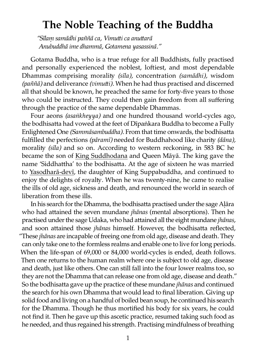# **The Noble Teaching of the Buddha**

"Sīlam samādhi paññā ca, Vimutti ca anuttarā *Anubuddhā ime dhammā, Gotamena yasassinā."*

Gotama Buddha, who is a true refuge for all Buddhists, fully practised and personally experienced the noblest, loftiest, and most dependable Dhammas comprising morality (sīla), concentration (samādhi), wisdom *(paññā)* and deliverance *(vimui).* When he had thus practised and discerned all that should be known, he preached the same for forty-five years to those who could be instructed. They could then gain freedom from all suffering through the practice of the same dependable Dhammas.

Four aeons *(asaṅkheyya)* and one hundred thousand world-cycles ago, the bodhisatta had vowed at the feet of Dīpaṅkara Buddha to become a Fully Enlightened One *(Sammāsambuddha)*. From that time onwards, the bodhisatta fulfilled the perfections *(pāramī)* needed for Buddhahood like charity *(dāna)*, morality *(sīla)* and so on. According to western reckoning, in 583 BC he became the son of [King Suddhodana](http://www.aimwell.org/DPPN/suddhodana.htm) and Queen Māyā. The king gave the name 'Siddhattha' to the bodhisatta. At the age of sixteen he was married to [Yasodharā-devī](http://www.aimwell.org/DPPN/rahulamata.htm), the daughter of King Suppabuddha, and continued to enjoy the delights of royalty. When he was twenty-nine, he came to realise the ills of old age, sickness and death, and renounced the world in search of liberation from these ills.

In his search for the Dhamma, the bodhisatta practised under the sage Alāra who had attained the seven mundane *jhānas* (mental absorptions). Then he practised under the sage Udaka, who had attained all the eight mundane *jhānas*, and soon attained those *jhānas* himself. However, the bodhisatta reflected, "These *jhānas* are incapable of freeing one from old age, disease and death. They can only take one to the formless realms and enable one to live for long periods. When the life-span of 69,000 or 84,000 world-cycles is ended, death follows. Then one returns to the human realm where one is subject to old age, disease and death, just like others. One can still fall into the four lower realms too, so they are not the Dhamma that can release one from old age, disease and death." So the bodhisatta gave up the practice of these mundane *jhānas* and continued the search for his own Dhamma that would lead to final liberation. Giving up solid food and living on a handful of boiled bean soup, he continued his search for the Dhamma. Though he thus mortified his body for six years, he could not find it. Then he gave up this ascetic practice, resumed taking such food as he needed, and thus regained his strength. Practising mindfulness of breathing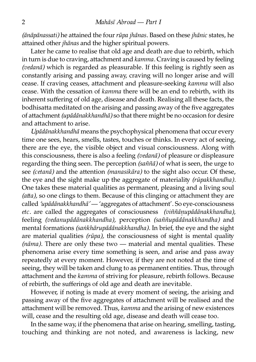*(ānāpānassati)* he attained the four *rūpa jhānas*. Based on these *jhānic* states, he attained other *jhānas* and the higher spiritual powers.

Later he came to realise that old age and death are due to rebirth, which in turn is due to craving, attachment and *kamma*. Craving is caused by feeling *(vedanā)* which is regarded as pleasurable. If this feeling is rightly seen as constantly arising and passing away, craving will no longer arise and will cease. If craving ceases, attachment and pleasure-seeking *kamma* will also cease. With the cessation of *kamma* there will be an end to rebirth, with its inherent suffering of old age, disease and death. Realising all these facts, the bodhisatta meditated on the arising and passing away of the five aggregates of attachment *(upādānakkhandhā)* so that there might be no occasion for desire and attachment to arise.

*Upādānakkhandhā* means the psychophysical phenomena that occur every time one sees, hears, smells, tastes, touches or thinks. In every act of seeing, there are the eye, the visible object and visual consciousness. Along with this consciousness, there is also a feeling *(vedanā)* of pleasure or displeasure regarding the thing seen. The perception *(saññā)* of what is seen, the urge to see *(cetanā)* and the attention *(manasikāra)* to the sight also occur. Of these, the eye and the sight make up the aggregate of materiality (rūpakkhandha). One takes these material qualities as permanent, pleasing and a living soul *(atta)*, so one clings to them. Because of this clinging or attachment they are called 'upādānakkhandhā' — 'aggregates of attachment'. So eye-consciousness *etc.* are called the aggregates of consciousness *(viññāṇupādānakkhandha)*, feeling *(vedanupādānakkhandha),* perception *(saññupādānakkhandha)* and mental formations *(saṅkhārupādānakkhandha).* In brief, the eye and the sight are material qualities *(rūpa)*, the consciousness of sight is mental quality *(nāma).* There are only these two — material and mental qualities. These phenomena arise every time something is seen, and arise and pass away repeatedly at every moment. However, if they are not noted at the time of seeing, they will be taken and clung to as permanent entities. Thus, through attachment and the *kamma* of striving for pleasure, rebirth follows. Because of rebirth, the sufferings of old age and death are inevitable.

However, if noting is made at every moment of seeing, the arising and passing away of the five aggregates of attachment will be realised and the attachment will be removed. Thus, *kamma* and the arising of new existences will, cease and the resulting old age, disease and death will cease too.

In the same way, if the phenomena that arise on hearing, smelling, tasting, touching and thinking are not noted, and awareness is lacking, new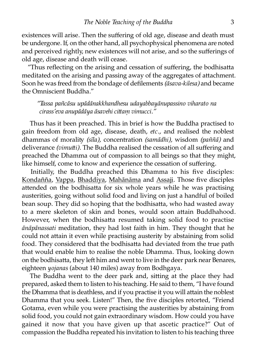existences will arise. Then the suffering of old age, disease and death must be undergone. If, on the other hand, all psychophysical phenomena are noted and perceived rightly, new existences will not arise, and so the sufferings of old age, disease and death will cease.

"Thus reflecting on the arising and cessation of suffering, the bodhisatta meditated on the arising and passing away of the aggregates of attachment. Soon he was freed from the bondage of defilements *(āsava-kilesa)* and became the Omniscient Buddha."

*"Tassa pañcāsu upādānakkhandhesu udayabbayānupassino viharato na cirass'eva anupādāya āsavehi cittam vimucci."* 

Thus has it been preached. This in brief is how the Buddha practised to gain freedom from old age, disease, death, *etc.*, and realised the noblest dhammas of morality *(sīla)*, concentration *(samādhi)*, wisdom *(paññā)* and deliverance *(vimutti)*. The Buddha realised the cessation of all suffering and preached the Dhamma out of compassion to all beings so that they might, like himself, come to know and experience the cessation of suffering.

Initially, the Buddha preached this Dhamma to his five disciples: [Kondañña,](http://www.aimwell.org/DPPN/annaa_kondanna.htm) [Vappa](http://www.aimwell.org/DPPN/vappa.htm), [Bhaddiya,](http://www.aimwell.org/DPPN/bhaddiya.htm#2) [Mahānāma](http://www.aimwell.org/DPPN/mahanama_th.htm#2) and [Assaji](http://www.aimwell.org/DPPN/assaji.htm). Those five disciples attended on the bodhisatta for six whole years while he was practising austerities, going without solid food and living on just a handful of boiled bean soup. They did so hoping that the bodhisatta, who had wasted away to a mere skeleton of skin and bones, would soon attain Buddhahood. However, when the bodhisatta resumed taking solid food to practise *ānāpānassati* meditation, they had lost faith in him. They thought that he could not attain it even while practising austerity by abstaining from solid food. They considered that the bodhisatta had deviated from the true path that would enable him to realise the noble Dhamma. Thus, looking down on the bodhisatta, they left him and went to live in the deer park near Benares, eighteen *yojanas* (about 140 miles) away from Bodhgaya.

The Buddha went to the deer park and, sitting at the place they had prepared, asked them to listen to his teaching. He said to them, "I have found the Dhamma that is deathless, and if you practise it you will attain the noblest Dhamma that you seek. Listen!" Then, the five disciples retorted, "Friend Gotama, even while you were practising the austerities by abstaining from solid food, you could not gain extraordinary wisdom. How could you have gained it now that you have given up that ascetic practice?" Out of compassion the Buddha repeated his invitation to listen to his teaching three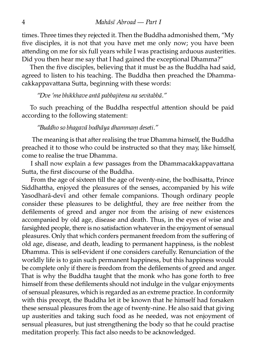times. Three times they rejected it. Then the Buddha admonished them, "My five disciples, it is not that you have met me only now; you have been attending on me for six full years while I was practising arduous austerities. Did you then hear me say that I had gained the exceptional Dhamma?"

Then the five disciples, believing that it must be as the Buddha had said, agreed to listen to his teaching. The Buddha then preached the Dhammacakkappavattana Sutta, beginning with these words:

*"Dve 'me bhikkhave antā pabbajitena na sevitabbā."*

To such preaching of the Buddha respectful attention should be paid according to the following statement:

*"Buddho so bhagavā bodhāya dhammaṃ deseti."*

The meaning is that after realising the true Dhamma himself, the Buddha preached it to those who could be instructed so that they may, like himself, come to realise the true Dhamma.

I shall now explain a few passages from the Dhammacakkappavattana Sutta, the first discourse of the Buddha.

From the age of sixteen till the age of twenty-nine, the bodhisatta, Prince Siddhattha, enjoyed the pleasures of the senses, accompanied by his wife Yasodharā-devī and other female companions. Though ordinary people consider these pleasures to be delightful, they are free neither from the defilements of greed and anger nor from the arising of new existences accompanied by old age, disease and death. Thus, in the eyes of wise and farsighted people, there is no satisfaction whatever in the enjoyment of sensual pleasures. Only that which confers permanent freedom from the suffering of old age, disease, and death, leading to permanent happiness, is the noblest Dhamma. This is self-evident if one considers carefully. Renunciation of the worldly life is to gain such permanent happiness, but this happiness would be complete only if there is freedom from the defilements of greed and anger. That is why the Buddha taught that the monk who has gone forth to free himself from these defilements should not indulge in the vulgar enjoyments of sensual pleasures, which is regarded as an extreme practice. In conformity with this precept, the Buddha let it be known that he himself had forsaken these sensual pleasures from the age of twenty-nine. He also said that giving up austerities and taking such food as he needed, was not enjoyment of sensual pleasures, but just strengthening the body so that he could practise meditation properly. This fact also needs to be acknowledged.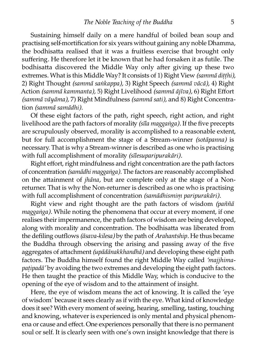Sustaining himself daily on a mere handful of boiled bean soup and practising self-mortification for six years without gaining any noble Dhamma, the bodhisatta realised that it was a fruitless exercise that brought only suffering. He therefore let it be known that he had forsaken it as futile. The bodhisatta discovered the Middle Way only after giving up these two extremes. What is this Middle Way? It consists of 1) Right View *(sammā ditthi)*, 2) Right Thought *(sammā saṅkappa),* 3) Right Speech *(sammā vācā)*, 4) Right Action *(sammā kammanta),* 5) Right Livelihood *(sammā ājīva),* 6) Right Effort *(sammā vāyāma),* 7) Right Mindfulness *(sammā sati),* and 8) Right Concenation *(sammā samādhi).*

Of these eight factors of the path, right speech, right action, and right livelihood are the path factors of morality (sila magganga). If the five precepts are scrupulously observed, morality is accomplished to a reasonable extent, but for full accomplishment the stage of a Stream-winner *(sotāpanna)* is necessary. That is why a Stream-winner is described as one who is practising with full accomplishment of morality (sīlesuparipurakāri).

Right effort, right mindfulness and right concentration are the path factors of concentration *(samādhi maggaṅga)*. The factors are reasonably accomplished on the attainment of *jhāna*, but are complete only at the stage of a Nonreturner. That is why the Non-returner is described as one who is practising with full accomplishment of concentration *(samādhismim paripurakāri)*.

Right view and right thought are the path factors of wisdom *(paññā maggaṅga).* While noting the phenomena that occur at every moment, if one realises their impermanence, the path factors of wisdom are being developed, along with morality and concentration. The bodhisatta was liberated from the defiling outflows *(āsava-kilesa)* by the path of *Arahantship.* He thus became the Buddha through observing the arising and passing away of the five aggregates of attachment *(upādānakkhandhā)* and developing these eight path factors. The Buddha himself found the right Middle Way called *'majjhimapatipadā'* by avoiding the two extremes and developing the eight path factors. He then taught the practice of this Middle Way, which is conducive to the opening of the eye of wisdom and to the attainment of insight.

Here, the eye of wisdom means the act of knowing. It is called the 'eye of wisdom' because it sees clearly as if with the eye. What kind of knowledge does it see? With every moment of seeing, hearing, smelling, tasting, touching and knowing, whatever is experienced is only mental and physical phenomena or cause and effect. One experiences personally that there is no permanent soul or self. It is clearly seen with one's own insight knowledge that there is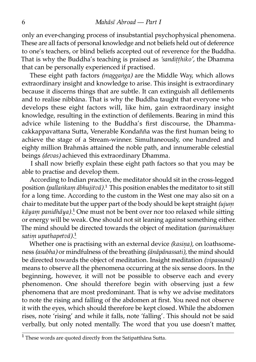only an ever-changing process of insubstantial psychophysical phenomena. These are all facts of personal knowledge and not beliefs held out of deference to one's teachers, or blind beliefs accepted out of reverence for the Buddha. That is why the Buddha's teaching is praised as *'sandiṭṭhiko',* the Dhamma that can be personally experienced if practised.

These eight path factors *(maggaṅga)* are the Middle Way, which allows extraordinary insight and knowledge to arise. This insight is extraordinary because it discerns things that are subtle. It can extinguish all defilements and to realise nibbāna. That is why the Buddha taught that everyone who develops these eight factors will, like him, gain extraordinary insight knowledge, resulting in the extinction of defilements. Bearing in mind this advice while listening to the Buddha's first discourse, the Dhammacakkappavattana Sutta, Venerable Kondañña was the first human being to achieve the stage of a Stream-winner. Simultaneously, one hundred and eighty million Brahmās attained the noble path, and innumerable celestial beings *(devas)* achieved this extraordinary Dhamma.

I shall now briefly explain these eight path factors so that you may be able to practise and develop them.

According to Indian practice, the meditator should sit in the cross-legged position *(pallaṅkam ābhujitvā)*.<sup>1</sup> This position enables the meditator to sit still for a long time. According to the custom in the West one may also sit on a chair to meditate but the upper part of the body should be kept straight *(ujum kāyam panidhāya*).<sup>1</sup> One must not be bent over nor too relaxed while sitting or energy will be weak. One should not sit leaning against something either. The mind should be directed towards the object of meditation *(parimukhaṃ satiṃ upathapetvā).*[¹](#page-13-0)

Whether one is practising with an external device *(kasina)*, on loathsomeness *(asubha)* or mindfulness of the breathing *(ānāpānassati),* the mind should be directed towards the object of meditation. Insight meditation *(vipassanā)* means to observe all the phenomena occurring at the six sense doors. In the beginning, however, it will not be possible to observe each and every phenomenon. One should therefore begin with observing just a few phenomena that are most predominant. That is why we advise meditators to note the rising and falling of the abdomen at first. You need not observe it with the eyes, which should therefore be kept closed. While the abdomen rises, note 'rising' and while it falls, note 'falling'. This should not be said verbally, but only noted mentally. The word that you use doesn't matter,

<span id="page-13-0"></span> $1$  These words are quoted directly from the Satipatthāna Sutta.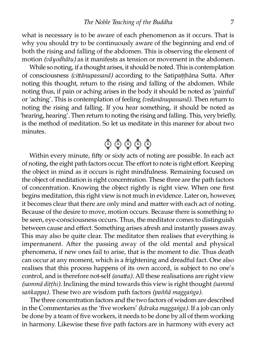what is necessary is to be aware of each phenomenon as it occurs. That is why you should try to be continuously aware of the beginning and end of both the rising and falling of the abdomen. This is observing the element of motion *(vāyodhātu)* as it manifests as tension or movement in the abdomen.

While so noting, if a thought arises, it should be noted. This is contemplation of consciousness *(cittānupassanā)* according to the Satipatthāna Sutta. After noting this thought, return to the rising and falling of the abdomen. While noting thus, if pain or aching arises in the body it should be noted as 'painful' or 'aching'. This is contemplation of feeling *(vedanānupassanā).* Then return to noting the rising and falling. If you hear something, it should be noted as 'hearing, hearing'. Then return to noting the rising and falling. This, very briefly, is the method of meditation. So let us meditate in this manner for about two minutes.



Within every minute, fifty or sixty acts of noting are possible. In each act of noting, the eight path factors occur. The effort to note is right effort. Keeping the object in mind as it occurs is right mindfulness. Remaining focused on the object of meditation is right concentration. These three are the path factors of concentration. Knowing the object rightly is right view. When one first begins meditation, this right view is not much in evidence. Later on, however, it becomes clear that there are only mind and matter with each act of noting. Because of the desire to move, motion occurs. Because there is something to be seen, eye-consciousness occurs. Thus, the meditator comes to distinguish between cause and effect. Something arises afresh and instantly passes away. This may also be quite clear. The meditator then realises that everything is impermanent. After the passing away of the old mental and physical phenomena, if new ones fail to arise, that is the moment to die. Thus death can occur at any moment, which is a frightening and dreadful fact. One also realises that this process happens of its own accord, is subject to no one's control, and is therefore not-self *(anatta)*. All these realisations are right view *(sammā diṭṭhi).* Inclining the mind towards this view is right thought *(sammā saṅkappa).* These two are wisdom path factors *(paññā maggaṅga).*

The three concentration factors and the two factors of wisdom are described in the Commentaries as the 'five workers' *(kāraka maggaṅga).* If a job can only be done by a team of five workers, it needs to be done by all of them working in harmony. Likewise these five path factors are in harmony with every act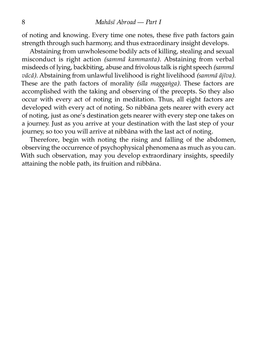of noting and knowing. Every time one notes, these five path factors gain strength through such harmony, and thus extraordinary insight develops.

Abstaining from unwholesome bodily acts of killing, stealing and sexual misconduct is right action *(sammā kammanta)*. Abstaining from verbal misdeeds of lying, backbiting, abuse and ivolous talk is right speech *(sammā vācā*). Abstaining from unlawful livelihood is right livelihood *(sammā ājīva)*. These are the path factors of morality (sīla maggaṅga). These factors are accomplished with the taking and observing of the precepts. So they also occur with every act of noting in meditation. Thus, all eight factors are developed with every act of noting. So nibbāna gets nearer with every act of noting, just as one's destination gets nearer with every step one takes on a journey. Just as you arrive at your destination with the last step of your journey, so too you will arrive at nibbāna with the last act of noting.

Therefore, begin with noting the rising and falling of the abdomen, observing the occurrence of psychophysical phenomena as much as you can. With such observation, may you develop extraordinary insights, speedily attaining the noble path, its fruition and nibbāna.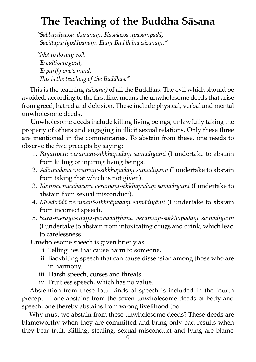# **The Teaching of the Buddha Sāsana**

*"Sabbapāpassa akaranaṃ, Kusalassa upasampadā, Saciapariyodāpanaṃ. Etaṃ Buddhāna sāsanaṃ."*

*"Not to do any evil, To cultivate good, To purify one's mind. This is the teaching of the Buddhas."*

This is the teaching *(sāsana)* of all the Buddhas. The evil which should be avoided, according to the first line, means the unwholesome deeds that arise from greed, hatred and delusion. These include physical, verbal and mental unwholesome deeds.

Unwholesome deeds include killing living beings, unlawfully taking the property of others and engaging in illicit sexual relations. Only these three are mentioned in the commentaries. To abstain from these, one needs to observe the five precepts by saying:

- 1. *Pāṇātipātā veramaṇī-sikkhāpadaṃ samādiyāmi* (I undertake to abstain from killing or injuring living beings.
- 2. *Adinnādānā veramaṇī-sikkhāpadaṃ samādiyāmi* (I undertake to abstain from taking that which is not given).
- 3. *Kāmesu micchācārā veramaṇī-sikkhāpadaṃ samādiyāmi* (I undertake to abstain from sexual misconduct).
- 4. *Musāvādā veramaṇī-sikkhāpadaṃ samādiyāmi* (I undertake to abstain from incorrect speech.
- 5. *Surā-meraya-majja-pamādaṭṭhānā veramaṇī-sikkhāpadaṃ samādiyāmi* (I undertake to abstain from intoxicating drugs and drink, which lead to carelessness.

Unwholesome speech is given briefly as:

- i Telling lies that cause harm to someone.
- ii Backbiting speech that can cause dissension among those who are in harmony.
- iii Harsh speech, curses and threats.
- iv Fruitless speech, which has no value.

Abstention from these four kinds of speech is included in the fourth precept. If one abstains from the seven unwholesome deeds of body and speech, one thereby abstains from wrong livelihood too.

Why must we abstain from these unwholesome deeds? These deeds are blameworthy when they are committed and bring only bad results when they bear fruit. Killing, stealing, sexual misconduct and lying are blame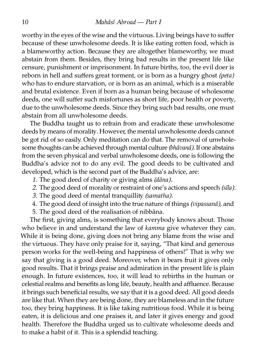worthy in the eyes of the wise and the virtuous. Living beings have to suffer because of these unwholesome deeds. It is like eating rotten food, which is a blameworthy action. Because they are altogether blameworthy, we must abstain from them. Besides, they bring bad results in the present life like censure, punishment or imprisonment. In future births, too, the evil doer is reborn in hell and suffers great torment, or is born as a hungry ghost *(peta)* who has to endure starvation, or is born as an animal, which is a miserable and brutal existence. Even if born as a human being because of wholesome deeds, one will suffer such misfortunes as short life, poor health or poverty, due to the unwholesome deeds. Since they bring such bad results, one must abstain from all unwholesome deeds.

The Buddha taught us to refrain from and eradicate these unwholesome deeds by means of morality. However, the mental unwholesome deeds cannot be got rid of so easily. Only meditation can do that. The removal of unwholesome thoughts can be achieved through mental culture *(bhāvanā).* If one abstains from the seven physical and verbal unwholesome deeds, one is following the Buddha's advice not to do any evil. The good deeds to be cultivated and developed, which is the second part of the Buddha's advice, are:

- *1.* The good deed of charity or giving alms *(dāna)*.
- 2. The good deed of morality or restraint of one's actions and speech *(sīla)*.
- 3. The good deed of mental tranquillity *(samatha)*.
- 4. The good deed of insight into the true nature of things *(vipassanā)*, and
- 5. The good deed of the realisation of nibbāna.

The first, giving alms, is something that everybody knows about. Those who believe in and understand the law of *kamma* give whatever they can. While it is being done, giving does not bring any blame from the wise and the virtuous. They have only praise for it, saying, "That kind and generous person works for the well-being and happiness of others!" That is why we say that giving is a good deed. Moreover, when it bears fruit it gives only good results. That it brings praise and admiration in the present life is plain enough. In future existences, too, it will lead to rebirths in the human or celestial realms and benefits as long life, beauty, health and affluence. Because it brings such beneficial results, we say that it is a good deed. All good deeds are like that. When they are being done, they are blameless and in the future too, they bring happiness. It is like taking nutritious food. While it is being eaten, it is delicious and one praises it, and later it gives energy and good health. Therefore the Buddha urged us to cultivate wholesome deeds and to make a habit of it. This is a splendid teaching.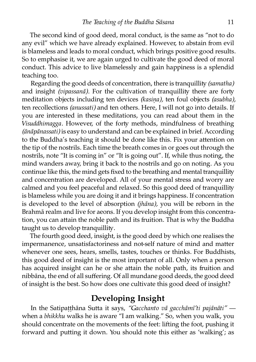The second kind of good deed, moral conduct, is the same as "not to do any evil" which we have already explained. However, to abstain from evil is blameless and leads to moral conduct, which brings positive good results. So to emphasise it, we are again urged to cultivate the good deed of moral conduct. This advice to live blamelessly and gain happiness is a splendid teaching too.

Regarding the good deeds of concentration, there is tranquillity *(samatha)* and insight *(vipassanā)*. For the cultivation of tranquillity there are forty meditation objects including ten devices *(kasiṇa),* ten foul objects *(asubha),* ten recollections *(anussati)* and ten others. Here, I will not go into details. If you are interested in these meditations, you can read about them in the *Visuddhimagga*. However, of the forty methods, mindfulness of breathing *(ānāpānassati)* is easy to understand and can be explained in brief. According to the Buddha's teaching it should be done like this. Fix your attention on the tip of the nostrils. Each time the breath comes in or goes out through the nostrils, note "It is coming in" or "It is going out". If, while thus noting, the mind wanders away, bring it back to the nostrils and go on noting. As you continue like this, the mind gets fixed to the breathing and mental tranquillity and concentration are developed. All of your mental stress and worry are calmed and you feel peaceful and relaxed. So this good deed of tranquillity is blameless while you are doing it and it brings happiness. If concentration is developed to the level of absorption *(jhāna),* you will be reborn in the Brahmā realm and live for aeons. If you develop insight from this concentration, you can attain the noble path and its fruition. That is why the Buddha taught us to develop tranquillity.

The fourth good deed, insight, is the good deed by which one realises the impermanence, unsatisfactoriness and not-self nature of mind and matter whenever one sees, hears, smells, tastes, touches or thinks. For Buddhists, this good deed of insight is the most important of all. Only when a person has acquired insight can he or she attain the noble path, its fruition and nibbāna, the end of all suffering. Of all mundane good deeds, the good deed of insight is the best. So how does one cultivate this good deed of insight?

### **Developing Insight**

In the Satipatthāna Sutta it says, "Gacchanto vā gacchāmī'ti pajānāti" when a *bhikkhu* walks he is aware "I am walking." So, when you walk, you should concentrate on the movements of the feet: lifting the foot, pushing it forward and putting it down. You should note this either as 'walking'; as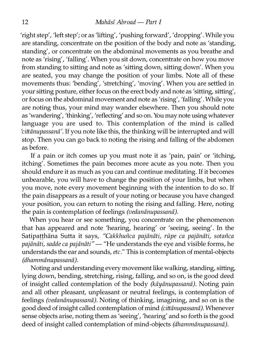'right step', 'left step'; or as 'lifting', 'pushing forward', 'dropping'. While you are standing, concentrate on the position of the body and note as 'standing, standing', or concentrate on the abdominal movements as you breathe and note as 'rising', 'falling'. When you sit down, concentrate on how you move from standing to sitting and note as 'sitting down, sitting down'. When you are seated, you may change the position of your limbs. Note all of these movements thus: 'bending', 'stretching', 'moving'. When you are settled in your sitting posture, either focus on the erect body and note as 'sitting, sitting', or focus on the abdominal movement and note as 'rising', 'falling'. While you are noting thus, your mind may wander elsewhere. Then you should note as 'wandering', 'thinking', 'reflecting' and so on. You may note using whatever language you are used to. This contemplation of the mind is called *'ciānupassanā'.* If you note like this, the thinking will be interrupted and will stop. Then you can go back to noting the rising and falling of the abdomen as before.

If a pain or itch comes up you must note it as 'pain, pain' or 'itching, itching'. Sometimes the pain becomes more acute as you note. Then you should endure it as much as you can and continue meditating. If it becomes unbearable, you will have to change the position of your limbs, but when you move, note every movement beginning with the intention to do so. If the pain disappears as a result of your noting or because you have changed your position, you can return to noting the rising and falling. Here, noting the pain is contemplation of feelings *(vedanānupassanā).*

When you hear or see something, you concentrate on the phenomenon that has appeared and note 'hearing, hearing' or 'seeing, seeing'. In the Satipaṭṭhāna Sutta it says, "Cakkhuñca pajānāti, rūpe ca pajānāti, sotañca *pajānāti, sadde ca pajānāti" —* "He understands the eye and visible forms, he understands the ear and sounds,*etc.*" This is contemplation of mental-objects *(dhammānupassanā).*

Noting and understanding every movement like walking, standing, sitting, lying down, bending, stretching, rising, falling, and so on, is the good deed of insight called contemplation of the body *(kāyānupassanā).* Noting pain and all other pleasant, unpleasant or neutral feelings, is contemplation of feelings *(vedanānupassanā).* Noting of thinking, imagining, and so on is the good deed of insight called contemplation of mind *(ciānupassanā).* Whenever sense objects arise, noting them as 'seeing', 'hearing' and so forth is the good deed of insight called contemplation of mind-objects *(dhammānupassanā).*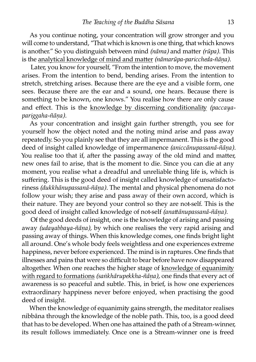As you continue noting, your concentration will grow stronger and you will come to understand, "That which is known is one thing, that which knows is another." So you distinguish between mind *(nāma)* and matter *(rūpa)*. This is the analytical knowledge of mind and matter *(nāmarūpa-pariccheda-ñāna)*.

Later, you know for yourself, "From the intention to move, the movement arises. From the intention to bend, bending arises. From the intention to stretch, stretching arises. Because there are the eye and a visible form, one sees. Because there are the ear and a sound, one hears. Because there is something to be known, one knows." You realise how there are only cause and effect. This is the [knowledge by discerning conditionali](http://www.aimwell.org/Books/Mahasi/Progress/progress.html#Conditionality)ty *(paccayapariggaha-ñāṇa).*

As your concentration and insight gain further strength, you see for yourself how the object noted and the noting mind arise and pass away repeatedly. So you plainly see that they are all impermanent. This is the good deed of insight called knowledge of impermanence *(aniccānupassanā-ñāṇa).* You realise too that if, after the passing away of the old mind and matter, new ones fail to arise, that is the moment to die. Since you can die at any moment, you realise what a dreadful and unreliable thing life is, which is suffering. This is the good deed of insight called knowledge of unsatisfactoriness *(dukkhānupassanā-ñāṇa).* The mental and physical phenomena do not follow your wish; they arise and pass away of their own accord, which is their nature. They are beyond your control so they are not-self. This is the good deed of insight called knowledge of not-self *(anattānupassanā-ñāna)*.

Of the good deeds of insight, one is the knowledge of arising and passing away *(udayabbaya-ñāṇa),* by which one realises the very rapid arising and passing away of things. When this knowledge comes, one finds bright light all around. One's whole body feels weightless and one experiences extreme happiness, never before experienced. The mind is in raptures. One finds that illnesses and pains that were so difficult to bear before have now disappeared [altogether. When one reaches the higher stage of](http://www.aimwell.org/Books/Mahasi/Progress/progress.html#Equanimity) knowledge of equanimi with regard to formations *(saṅkhārupekkha-ñāṇa),* one finds that every act of awareness is so peaceful and subtle. This, in brief, is how one experiences extraordinary happiness never before enjoyed, when practising the good deed of insight.

When the knowledge of equanimity gains strength, the meditator realises nibbāna through the knowledge of the noble path. This, too, is a good deed that has to be developed. When one has attained the path of a Stream-winner, its result follows immediately. Once one is a Stream-winner one is freed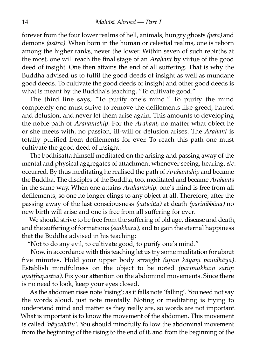forever from the four lower realms of hell, animals, hungry ghosts *(peta)* and demons *(asūra).* When born in the human or celestial realms, one is reborn among the higher ranks, never the lower. Within seven of such rebirths at the most, one will reach the final stage of an *Arahant* by virtue of the good deed of insight. One then attains the end of all suffering. That is why the Buddha advised us to fulfil the good deeds of insight as well as mundane good deeds. To cultivate the good deeds of insight and other good deeds is what is meant by the Buddha's teaching, "To cultivate good."

The third line says, "To purify one's mind." To purify the mind completely one must strive to remove the defilements like greed, hatred and delusion, and never let them arise again. This amounts to developing the noble path of *Arahantship*. For the *Arahant*, no matter what object he or she meets with, no passion, ill-will or delusion arises. The *Arahant* is totally purified from defilements for ever. To reach this path one must cultivate the good deed of insight.

The bodhisatta himself meditated on the arising and passing away of the mental and physical aggregates of attachment whenever seeing, hearing, etc. occurred. By thus meditating he realised the path of *Arahantship* and became the Buddha. The disciples of the Buddha, too, meditated and became *Arahants* in the same way. When one attains *Arahantship*, one's mind is free from all defilements, so one no longer clings to any object at all. Therefore, after the passing away of the last consciousness *(cuticia)* at death *(parinibbāna)* no new birth will arise and one is free from all suffering for ever.

We should strive to be free from the suffering of old age, disease and death, and the suffering of formations *(saṅkhārā),* and to gain the eternal happiness that the Buddha advised in his teaching:

"Not to do any evil, to cultivate good, to purify one's mind."

Now, in accordance with this teaching let us try some meditation for about five minutes. Hold your upper body straight *(ujum kāyam panidhāya)*. Establish mindfulness on the object to be noted *(parimukhaṃ satiṃ* upatthapaetvā). Fix your attention on the abdominal movements. Since there is no need to look, keep your eyes closed.

As the abdomen rises note 'rising'; as it falls note 'falling'. You need not say the words aloud, just note mentally. Noting or meditating is trying to understand mind and matter as they really are, so words are not important. What is important is to know the movement of the abdomen. This movement is called *'vāyodhātu'.* You should mindfully follow the abdominal movement from the beginning of the rising to the end of it, and from the beginning of the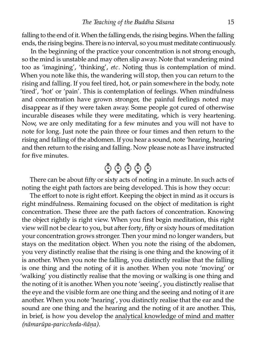falling to the end of it. When the falling ends, the rising begins. When the falling ends, the rising begins. There is no interval, so you must meditate continuously.

In the beginning of the practice your concentration is not strong enough, so the mind is unstable and may often slip away. Note that wandering mind too as 'imagining', 'thinking', *etc.* Noting thus is contemplation of mind. When you note like this, the wandering will stop, then you can return to the rising and falling. If you feel tired, hot, or pain somewhere in the body, note 'tired', 'hot' or 'pain'. This is contemplation of feelings. When mindfulness and concentration have grown stronger, the painful feelings noted may disappear as if they were taken away. Some people got cured of otherwise incurable diseases while they were meditating, which is very heartening. Now, we are only meditating for a few minutes and you will not have to note for long. Just note the pain three or four times and then return to the rising and falling of the abdomen. If you hear a sound, note 'hearing, hearing' and then return to the rising and falling. Now please note as I have instructed for five minutes.



There can be about fifty or sixty acts of noting in a minute. In such acts of noting the eight path factors are being developed. This is how they occur:

The effort to note is right effort. Keeping the object in mind as it occurs is right mindfulness. Remaining focused on the object of meditation is right concentration. These three are the path factors of concentration. Knowing the object rightly is right view. When you first begin meditation, this right view will not be clear to you, but after forty, fifty or sixty hours of meditation your concentration grows stronger. Then your mind no longer wanders, but stays on the meditation object. When you note the rising of the abdomen, you very distinctly realise that the rising is one thing and the knowing of it is another. When you note the falling, you distinctly realise that the falling is one thing and the noting of it is another. When you note 'moving' or 'walking' you distinctly realise that the moving or walking is one thing and the noting of it is another. When you note 'seeing', you distinctly realise that the eye and the visible form are one thing and the seeing and noting of it are another. When you note 'hearing', you distinctly realise that the ear and the sound are one thing and the hearing and the noting of it are another. This, in brief, is how you develop the analytical knowledge of mind and matter *(nāmarūpa-pariccheda-ñāṇa).*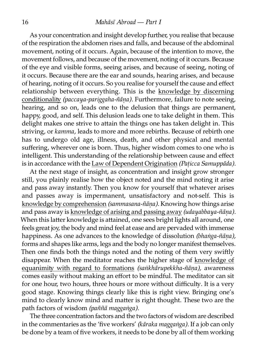As your concentration and insight develop further, you realise that because of the respiration the abdomen rises and falls, and because of the abdominal movement, noting of it occurs. Again, because of the intention to move, the movement follows, and because of the movement, noting of it occurs. Because of the eye and visible forms, seeing arises, and because of seeing, noting of it occurs. Because there are the ear and sounds, hearing arises, and because of hearing, noting of it occurs. So you realise for yourself the cause and effect [relationship between everything. This is the](http://www.aimwell.org/Books/Mahasi/Progress/progress.html#Conditionality) knowledge by discerning conditionality *(paccaya-pariggaha-ñāna)*. Furthermore, failure to note seeing, hearing, and so on, leads one to the delusion that things are permanent, happy, good, and self. This delusion leads one to take delight in them. This delight makes one strive to attain the things one has taken delight in. This striving, or *kamma*, leads to more and more rebirths. Because of rebirth one has to undergo old age, illness, death, and other physical and mental suffering, wherever one is born. Thus, higher wisdom comes to one who is intelligent. This understanding of the relationship between cause and effect is in accordance with the [Law of Dependent Origination](http://www.aimwell.org/Books/Mahasi/Dependent/dependent.html) *(Paṭicca Samuppāda).*

At the next stage of insight, as concentration and insight grow stronger still, you plainly realise how the object noted and the mind noting it arise and pass away instantly. Then you know for yourself that whatever arises and passes away is impermanent, unsatisfactory and not-self. This is [knowledge by comprehension](http://www.aimwell.org/Books/Mahasi/Progress/progress.html#Comprehension) *(sammasana-ñāṇa).* Knowing how things arise and pass away is [knowledge of arising and passing away](http://www.aimwell.org/Books/Mahasi/Progress/progress.html#Arising) *(udayabbaya-ñāṇa).* When this latter knowledge is attained, one sees bright lights all around, one feels great joy, the body and mind feel at ease and are pervaded with immense happiness. As one advances to the knowledge of dissolution *(bhaṅga-ñāṇa),* forms and shapes like arms, legs and the body no longer manifest themselves. Then one finds both the things noted and the noting of them very swiftly [disappear. When the meditator reaches the higher stage of](http://www.aimwell.org/Books/Mahasi/Progress/progress.html#Equanimity) knowledge of equanimity with regard to formations *(saṅkhārupekkha-ñāna)*, awareness comes easily without making an effort to be mindful. The meditator can sit for one hour, two hours, three hours or more without difficulty. It is a very good stage. Knowing things clearly like this is right view. Bringing one's mind to clearly know mind and matter is right thought. These two are the path factors of wisdom *(paññā maggaṅga).*

The three concentration factors and the two factors of wisdom are described in the commentaries as the 'five workers' *(kāraka maggaṅga).* If a job can only be done by a team of five workers, it needs to be done by all of them working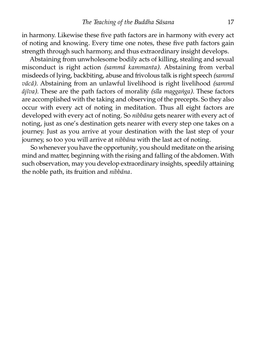in harmony. Likewise these five path factors are in harmony with every act of noting and knowing. Every time one notes, these five path factors gain strength through such harmony, and thus extraordinary insight develops.

Abstaining from unwholesome bodily acts of killing, stealing and sexual misconduct is right action *(sammā kammanta)*. Abstaining from verbal misdeeds of lying, backbiting, abuse and frivolous talk is right speech *(sammā*) *vācā*). Abstaining from an unlawful livelihood is right livelihood *(sammā ājīva).* These are the path factors of morali *(sīla maggaṅga).* These factors are accomplished with the taking and observing of the precepts. So they also occur with every act of noting in meditation. Thus all eight factors are developed with every act of noting. So *nibbāna* gets nearer with every act of noting, just as one's destination gets nearer with every step one takes on a journey. Just as you arrive at your destination with the last step of your journey, so too you will arrive at *nibbāna* with the last act of noting.

So whenever you have the opportunity, you should meditate on the arising mind and matter, beginning with the rising and falling of the abdomen. With such observation, may you develop extraordinary insights, speedily attaining the noble path, its fruition and *nibbāna*.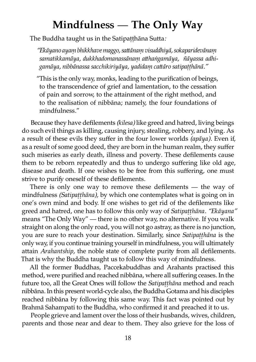# **Mindfulness — The Only Way**

The Buddha taught us in the Satipatthāna Sutta:

*"Ekāyano ayaṃ bhikkhave maggo, saānaṃ visuddhiyā, sokaparidevānaṃ* samatikkamāya, dukkhadomanassānam atthangamāya, ñāyassa adhi*gamāya, nibbānassa sacchikiriyāya, yadidaṃ caāro satipaṭṭhānā."*

"This is the only way, monks, leading to the purification of beings, to the transcendence of grief and lamentation, to the cessation of pain and sorrow, to the attainment of the right method, and to the realisation of nibbāna; namely, the four foundations of mindfulness."

Because they have defilements *(kilesa)* like greed and hatred, living beings do such evil things as killing, causing injury, stealing, robbery, and lying. As a result of these evils they suffer in the four lower worlds *(apāya).* Even if, as a result of some good deed, they are born in the human realm, they suffer such miseries as early death, illness and poverty. These defilements cause them to be reborn repeatedly and thus to undergo suffering like old age, disease and death. If one wishes to be free from this suffering, one must strive to purify oneself of these defilements.

There is only one way to remove these defilements — the way of mindfulness *(Satipaṭṭhāna),* by which one contemplates what is going on in one's own mind and body. If one wishes to get rid of the defilements like greed and hatred, one has to follow this only way of *Satipatthāna. "Ekāyana"* means "The Only Way" — there is no other way, no alternative. If you walk straight on along the only road, you will not go astray, as there is no junction, you are sure to reach your destination. Similarly, since *Satipaṭṭhāna* is the only way, if you continue training yourself in mindfulness, you will ultimately attain *Arahantship*, the noble state of complete purity from all defilements. That is why the Buddha taught us to follow this way of mindfulness.

All the former Buddhas, Paccekabuddhas and Arahants practised this method, were purified and reached nibbāna, where all suffering ceases. In the future too, all the Great Ones will follow the *Satipaṭṭhāna* method and reach nibbāna. In this present world-cycle also, the Buddha Gotama and his disciples reached nibbāna by following this same way. This fact was pointed out by Brahmā Sahampati to the Buddha, who confirmed it and preached it to us.

People grieve and lament over the loss of their husbands, wives, children, parents and those near and dear to them. They also grieve for the loss of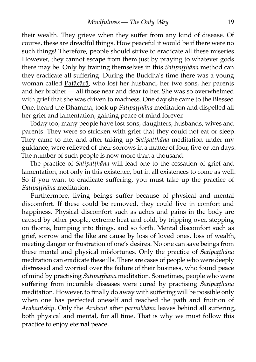their wealth. They grieve when they suffer from any kind of disease. Of course, these are dreadful things. How peaceful it would be if there were no such things! Therefore, people should strive to eradicate all these miseries. However, they cannot escape from them just by praying to whatever gods there may be. Only by training themselves in this *Satipatthāna* method can they eradicate all suffering. During the Buddha's time there was a young woman called [Patācārā](http://www.aimwell.org/DPPN/patacara.htm), who lost her husband, her two sons, her parents and her brother — all those near and dear to her. She was so overwhelmed with grief that she was driven to madness. One day she came to the Blessed One, heard the Dhamma, took up *Satipaṭṭhāna* meditation and dispelled all her grief and lamentation, gaining peace of mind forever.

Today too, many people have lost sons, daughters, husbands, wives and parents. They were so stricken with grief that they could not eat or sleep. They came to me, and after taking up *Satipatthāna* meditation under my guidance, were relieved of their sorrows in a matter of four, five or ten days. The number of such people is now more than a thousand.

The practice of *Satipaṭṭhāna* will lead one to the cessation of grief and lamentation, not only in this existence, but in all existences to come as well. So if you want to eradicate suffering, you must take up the practice of *Satipaṭṭhāna* meditation.

Furthermore, living beings suffer because of physical and mental discomfort. If these could be removed, they could live in comfort and happiness. Physical discomfort such as aches and pains in the body are caused by other people, extreme heat and cold, by tripping over, stepping on thorns, bumping into things, and so forth. Mental discomfort such as grief, sorrow and the like are cause by loss of loved ones, loss of wealth, meeting danger or frustration of one's desires. No one can save beings from these mental and physical misfortunes. Only the practice of *Satipaṭṭhāna* meditation can eradicate these ills. There are cases of people who were deeply distressed and worried over the failure of their business, who found peace of mind by practising *Satipaṭṭhāna* meditation. Sometimes, people who were suffering from incurable diseases were cured by practising *Satipatthāna* meditation. However, to finally do away with suffering will be possible only when one has perfected oneself and reached the path and fruition of *Arahantship.* Only the *Arahant* after *parinibbāna* leaves behind all suffering, both physical and mental, for all time. That is why we must follow this practice to enjoy eternal peace.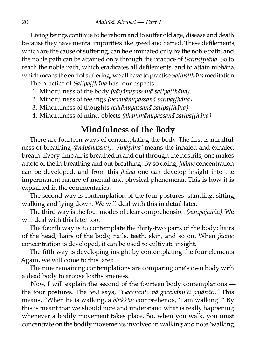Living beings continue to be reborn and to suffer old age, disease and death because they have mental impurities like greed and hatred. These defilements, which are the cause of suffering, can be eliminated only by the noble path, and the noble path can be attained only through the practice of *Satipatthāna*. So to reach the noble path, which eradicates all defilements, and to attain nibbāna, which means the end of suffering, we all have to practise *Satipaṭṭhāna* meditation.

The practice of *Satipaṭṭhāna* has four aspects:

1. Mindfulness of the body *(kāyānupassanā satipaṭṭhāna).*

- 2. Mindfulness of feelings *(vedanānupassanā satipaṭṭhāna).*
- 3. Mindfulness of thoughts *(ciānupassanā satipaṭṭhāna).*
- 4. Mindfulness of mind-objects *(dhammānupassanā satipaṭṭhāna).*

## **Mindfulness of the Body**

There are fourteen ways of contemplating the body. The first is mindfulness of breathing *(ānāpānassati). 'Ānāpāna'* means the inhaled and exhaled breath. Every time air is breathed in and out through the nostrils, one makes a note of the in-breathing and out-breathing. By so doing, *jhānic* concentration can be developed, and from this *jhāna* one can develop insight into the impermanent nature of mental and physical phenomena. This is how it is explained in the commentaries.

The second way is contemplation of the four postures: standing, sitting, walking and lying down. We will deal with this in detail later.

The third way is the four modes of clear comprehension *(sampajañña).* We will deal with this later too.

The fourth way is to contemplate the thirty-two parts of the body: hairs of the head, hairs of the body, nails, teeth, skin, and so on. When *jhānic* concentration is developed, it can be used to cultivate insight.

The fifth way is developing insight by contemplating the four elements. Again, we will come to this later.

The nine remaining contemplations are comparing one's own body with a dead body to arouse loathsomeness.

Now, I will explain the second of the fourteen body contemplations the four postures. The text says, *"Gacchanto vā gacchāmi'ti pajānāti."* This means, "When he is walking, a *bhikkhu* comprehends, 'I am walking'." By this is meant that we should note and understand what is really happening whenever a bodily movement takes place. So, when you walk, you must concentrate on the bodily movements involved in walking and note 'walking,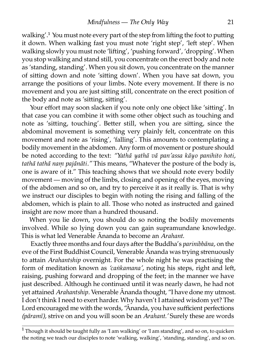walking'.<sup>1</sup> You must note every part of the step from lifting the foot to putting it down. When walking fast you must note 'right step', 'left step'. When walking slowly you must note 'lifting', 'pushing forward', 'dropping'. When you stop walking and stand still, you concentrate on the erect body and note as 'standing, standing'. When you sit down, you concentrate on the manner of sitting down and note 'sitting down'. When you have sat down, you arrange the positions of your limbs. Note every movement. If there is no movement and you are just sitting still, concentrate on the erect position of the body and note as 'sitting, sitting'.

Your effort may soon slacken if you note only one object like 'sitting'. In that case you can combine it with some other object such as touching and note as 'sitting, touching'. Better still, when you are sitting, since the abdominal movement is something very plainly felt, concentrate on this movement and note as 'rising', 'falling'. This amounts to contemplating a bodily movement in the abdomen. Any form of movement or posture should be noted according to the text: *"Yathā yathā vā pan'assa kāyo panihito hoti, tathā tathā naṃ pajānāti."* This means, "Whatever the posture of the body is, one is aware of it." This teaching shows that we should note every bodily movement — moving of the limbs, closing and opening of the eyes, moving of the abdomen and so on, and try to perceive it as it really is. That is why we instruct our disciples to begin with noting the rising and falling of the abdomen, which is plain to all. Those who noted as instructed and gained insight are now more than a hundred thousand.

When you lie down, you should do so noting the bodily movements involved. While so lying down you can gain supramundane knowledge. This is what led Venerable Ānanda to become an *Arahant.*

Exactly three months and four days after the Buddha's *parinibbāna*, on the eve of the First Buddhist Council, Venerable Ānanda was trying strenuously to attain *Arahantship* overnight. For the whole night he was practising the form of meditation known as 'cankamana', noting his steps, right and left, raising, pushing forward and dropping of the feet; in the manner we have just described. Although he continued until it was nearly dawn, he had not vet attained *Arahantship*. Venerable Ānanda thought, "I have done my utmost. I don't think I need to exert harder. Why haven't I attained wisdom yet? The Lord encouraged me with the words, "Ānanda, you have sufficient perfections *(pāramī),* strive on and you will soon be an *Arahant*.' Surely these are words

<sup>&</sup>lt;sup>1</sup> Though it should be taught fully as 'I am walking' or 'I am standing', and so on, to quicken the noting we teach our disciples to note 'walking, walking', 'standing, standing', and so on.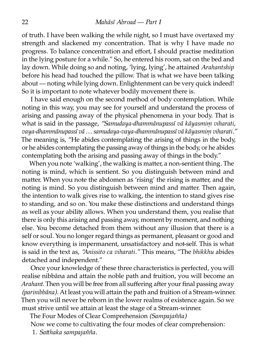of truth. I have been walking the while night, so I must have overtaxed my strength and slackened my concentration. That is why I have made no progress. To balance concentration and effort, I should practise meditation in the lying posture for a while." So, he entered his room, sat on the bed and lay down. While doing so and noting, 'lying, lying', he attained *Arahantship* before his head had touched the pillow. That is what we have been talking about — noting while lying down. Enlightenment can be very quick indeed! So it is important to note whatever bodily movement there is.

I have said enough on the second method of body contemplation. While noting in this way, you may see for yourself and understand the process of arising and passing away of the physical phenomena in your body. That is what is said in the passage, *"Samudaya-dhammānupassī vā kāyasmiṃ viharati, vaya-dhammānupassī vā … samudaya-vaya-dhammānupassī vā kāyasmiṃ viharati."* The meaning is, "He abides contemplating the arising of things in the body, or he abides contemplating the passing away of things in the body, or he abides contemplating both the arising and passing away of things in the body."

When you note 'walking', the walking is matter, a non-sentient thing. The noting is mind, which is sentient. So you distinguish between mind and matter. When you note the abdomen as 'rising' the rising is matter, and the noting is mind. So you distinguish between mind and matter. Then again, the intention to walk gives rise to walking, the intention to stand gives rise to standing, and so on. You make these distinctions and understand things as well as your ability allows. When you understand them, you realise that there is only this arising and passing away, moment by moment, and nothing else. You become detached from them without any illusion that there is a self or soul. You no longer regard things as permanent, pleasant or good and know everything is impermanent, unsatisfactory and not-self. This is what is said in the text as, *"Anissito ca viharati."* This means, "The *bhikkhu* abides detached and independent."

Once your knowledge of these three characteristics is perfected, you will realise nibbāna and attain the noble path and fruition, you will become an *Arahant*. Then you will be free from all suffering after your final passing away *(parinibbāna).* At least you will attain the path and fruition of a Stream-winner. Then you will never be reborn in the lower realms of existence again. So we must strive until we attain at least the stage of a Stream-winner.

The Four Modes of Clear Comprehension *(Sampajañña)*

Now we come to cultivating the four modes of clear comprehension:

1. *Sahaka sampajañña*.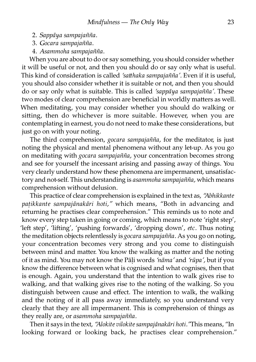- 2. *Sappāya sampajañña*.
- 3. *Gocara sampajañña*.
- 4. *Asammoha sampajañña*.

When you are about to do or say something, you should consider whether it will be useful or not, and then you should do or say only what is useful. This kind of consideration is called 'satthaka sampajañña'. Even if it is useful, you should also consider whether it is suitable or not, and then you should do or say only what is suitable. This is called *'sappāya sampajañña'.* These two modes of clear comprehension are beneficial in worldly matters as well. When meditating, you may consider whether you should do walking or sitting, then do whichever is more suitable. However, when you are contemplating in earnest, you do not need to make these considerations, but just go on with your noting.

The third comprehension, *gocara sampajañña,* for the meditator, is just noting the physical and mental phenomena without any let-up. As you go on meditating with *gocara sampajañña*, your concentration becomes strong and see for yourself the incessant arising and passing away of things. You very clearly understand how these phenomena are impermanent, unsatisfactory and not-self. This understanding is *asammoha sampajañña,* which means comprehension without delusion.

This practice of clear comprehension is explained in the text as, *"Abhikkante paṭikkante sampajānakāri hoti,"* which means, "Both in advancing and returning he practises clear comprehension." This reminds us to note and know every step taken in going or coming, which means to note 'right step', 'left step', 'lifting', 'pushing forwards', 'dropping down', *etc*. Thus noting the meditation objects relentlessly is *gocara sampajañña.* As you go on noting, your concentration becomes very strong and you come to distinguish between mind and matter. You know the walking as matter and the noting of it as mind. You may not know the Pāḷi words *'nāma'* and *'rūpa',* but if you know the difference between what is cognised and what cognises, then that is enough. Again, you understand that the intention to walk gives rise to walking, and that walking gives rise to the noting of the walking. So you distinguish between cause and effect. The intention to walk, the walking and the noting of it all pass away immediately, so you understand very clearly that they are all impermanent. This is comprehension of things as they really are, or *asammoha sampajañña.*

Then it says in the text, *"Alokite vilokite sampajānakāri hoti."*This means, "In looking forward or looking back, he practises clear comprehension."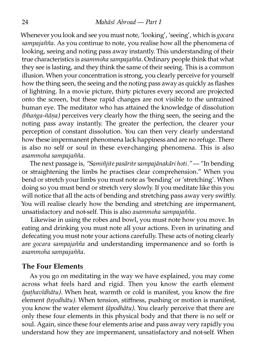Whenever you look and see you must note, 'looking', 'seeing', which is *gocara sampajañña.* As you continue to note, you realise how all the phenomena of looking, seeing and noting pass away instantly. This understanding of their ue characteristics is *asammoha sampajañña.* Ordinary people think that what they see is lasting, and they think the same of their seeing. This is a common illusion. When your concentration is strong, you clearly perceive for yourself how the thing seen, the seeing and the noting pass away as quickly as flashes of lightning. In a movie picture, thirty pictures every second are projected onto the screen, but these rapid changes are not visible to the untrained human eye. The meditator who has attained the knowledge of dissolution *(bhaṅga-ñāṇa)* perceives very clearly how the thing seen, the seeing and the noting pass away instantly. The greater the perfection, the clearer your perception of constant dissolution. You can then very clearly understand how these impermanent phenomena lack happiness and are no refuge. There is also no self or soul in these ever-changing phenomena. This is also *asammoha sampajañña.*

The next passage is, *"Samiñjite pasārite sampajānakāri hoti."* — "In bending or straightening the limbs he practises clear comprehension." When you bend or stretch your limbs you must note as 'bending' or 'stretching'. When doing so you must bend or stretch very slowly. If you meditate like this you will notice that all the acts of bending and stretching pass away very swiftly. You will realise clearly how the bending and stretching are impermanent, unsatisfactory and not-self. This is also *asammoha sampajañña.*

Likewise in using the robes and bowl, you must note how you move. In eating and drinking you must note all your actions. Even in urinating and defecating you must note your actions carefully. These acts of noting clearly are *gocara sampajañña* and understanding impermanence and so forth is *asammoha sampajañña.*

#### **The Four Elements**

As you go on meditating in the way we have explained, you may come across what feels hard and rigid. Then you know the earth element *(paṭhavīdhātu).* When heat, warmth or cold is manifest, you know the fire element *(tejodhātu).* When tension, stiffness, pushing or motion is manifest, you know the water element *(āpodhātu).* You clearly perceive that there are only these four elements in this physical body and that there is no self or soul. Again, since these four elements arise and pass away very rapidly you understand how they are impermanent, unsatisfactory and not-self. When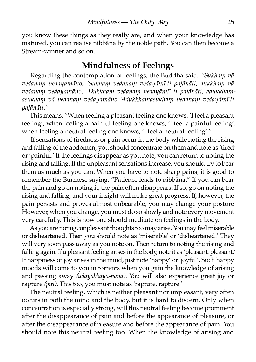you know these things as they really are, and when your knowledge has matured, you can realise nibbāna by the noble path. You can then become a Stream-winner and so on.

### **Mindfulness of Feelings**

Regarding the contemplation of feelings, the Buddha said, *"Sukhaṃ vā vedanaṃ vedayamāno, 'Sukhaṃ vedanaṃ vedayāmī'ti pajānāti, dukkhaṃ vā vedanaṃ vedayamāno, 'Dukkhaṃ vedanaṃ vedayāmī' ti pajānāti, adukkhamasukhaṃ vā vedanaṃ vedayamāno 'Adukkhamasukhaṃ vedanaṃ vedayāmī'ti pajānāti."*

This means, "When feeling a pleasant feeling one knows, 'I feel a pleasant feeling', when feeling a painful feeling one knows, 'I feel a painful feeling', when feeling a neutral feeling one knows, 'I feel a neutral feeling'."

If sensations of tiredness or pain occur in the body while noting the rising and falling of the abdomen, you should concentrate on them and note as 'tired' or 'painful.' If the feelings disappear as you note, you can return to noting the rising and falling. If the unpleasant sensations increase, you should try to bear them as much as you can. When you have to note sharp pains, it is good to remember the Burmese saying, "Patience leads to nibbāna." If you can bear the pain and go on noting it, the pain often disappears. If so, go on noting the rising and falling, and your insight will make great progress. If, however, the pain persists and proves almost unbearable, you may change your posture. However, when you change, you must do so slowly and note every movement very carefully. This is how one should meditate on feelings in the body.

As you are noting, unpleasant thoughts too may arise. You may feel miserable or disheartened. Then you should note as 'miserable' or 'disheartened.' They will very soon pass away as you note on. Then return to noting the rising and falling again. If a pleasant feeling arises in the body, note it as 'pleasant, pleasant.' If happiness or joy arises in the mind, just note 'happy' or 'joyful'. Such happy [moods will come to you in torrents when you gain the](http://www.aimwell.org/Books/Mahasi/Progress/progress.html#Arising) knowledge of arising and passing away *(udayabbaya-ñāṇa).* You will also experience great joy or rapture *(pīti).* This too, you must note as 'rapture, rapture.'

The neutral feeling, which is neither pleasant nor unpleasant, very often occurs in both the mind and the body, but it is hard to discern. Only when concentration is especially strong, will this neutral feeling become prominent after the disappearance of pain and before the appearance of pleasure, or after the disappearance of pleasure and before the appearance of pain. You should note this neutral feeling too. When the knowledge of arising and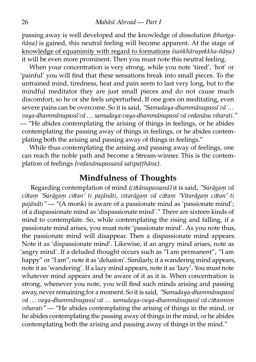passing away is well developed and the knowledge of dissolution *(bhaṅga* $ñāna)$  is gained, this neutral feeling will become apparent. At the stage of knowledge of equanimity with regard to formations *(saṅkhārupekkha-ñāna)* it will be even more prominent. Then you must note this neutral feeling.

When your concentration is very strong, while you note 'tired', 'hot' or 'painful' you will find that these sensations break into small pieces. To the untrained mind, tiredness, heat and pain seem to last very long, but to the mindful meditator they are just small pieces and do not cause much discomfort, so he or she feels unperturbed. If one goes on meditating, even severe pains can be overcome. So it is said, *"Samudaya-dhammānupassī vā … vaya-dhammānupassī vā … samudaya-vaya-dhammānupassī vā vedanāsu viharati." —* "He abides contemplating the arising of things in feelings, or he abides contemplating the passing away of things in feelings, or he abides contemplating both the arising and passing away of things in feelings."

While thus contemplating the arising and passing away of feelings, one can reach the noble path and become a Stream-winner. This is the contemplation of feelings *(vedanānupassanā satipaṭṭhāna).*

### **Mindfulness of Thoughts**

Regarding contemplation of mind *(ciānupassanā)* it is said, *"Sarāgaṃ vā ciaṃ 'Sarāgaṃ cian' ti pajānāti, vitarāgaṃ vā ciaṃ 'Vitarāgaṃ cian' ti pajānāti"* — "(A monk) is aware of a passionate mind as 'passionate mind'; of a dispassionate mind as 'dispassionate mind'." There are sixteen kinds of mind to contemplate. So, while contemplating the rising and falling, if a passionate mind arises, you must note 'passionate mind'. As you note thus, the passionate mind will disappear. Then a dispassionate mind appears. Note it as 'dispassionate mind'. Likewise, if an angry mind arises, note as 'angry mind'. If a deluded thought occurs such as "I am permanent", "I am happy" or "I am", note it as 'delusion'. Similarly, if a wandering mind appears, note it as 'wandering'. If a lazy mind appears, note it as 'lazy'. You must note whatever mind appears and be aware of it as it is. When concentration is strong, whenever you note, you will find such minds arising and passing away, never remaining for a moment. So it is said, *"Samudaya-dhammānupassī* vā ... vaya-dhammānupassī vā ... samudaya-vaya-dhammānupassī vā cittasmim *viharati" —* "He abides contemplating the arising of things in the mind, or he abides contemplating the passing away of things in the mind, or he abides contemplating both the arising and passing away of things in the mind."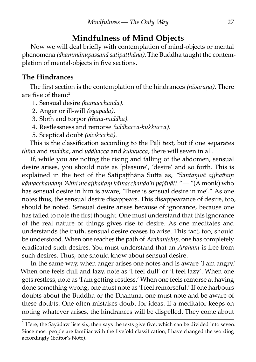### **Mindfulness of Mind Objects**

Now we will deal briefly with contemplation of mind-objects or mental phenomena *(dhammānupassanā satipaṭṭhāna).* The Buddha taught the contemplation of mental-objects in five sections.

#### **The Hindrances**

The first section is the contemplation of the hindrances *(nīvaraṇa).* There are five of them: $<sup>1</sup>$ </sup>

- 1. Sensual desire *(kāmacchanda).*
- 2. Anger or ill-will *(vyāpāda).*
- 3. Sloth and torpor *(thīna-middha).*
- 4. Restlessness and remorse *(uddhacca-kukkucca).*
- 5. Sceptical doubt *(vicikicchā).*

This is the classification according to the Pāli text, but if one separates *thīna* and *middha,* and *uddhacca* and *kukkucca,* there will seven in all.

If, while you are noting the rising and falling of the abdomen, sensual desire arises, you should note as 'pleasure', 'desire' and so forth. This is explained in the text of the Satipatthāna Sutta as, "Santamvā ajjhattam *kāmacchandam 'Atthi me ajjhattam kāmacchando'ti pajānāti."* — "(A monk) who has sensual desire in him is aware, 'There is sensual desire in me'." As one notes thus, the sensual desire disappears. This disappearance of desire, too, should be noted. Sensual desire arises because of ignorance, because one has failed to note the first thought. One must understand that this ignorance of the real nature of things gives rise to desire. As one meditates and understands the truth, sensual desire ceases to arise. This fact, too, should be understood. When one reaches the path of *Arahantship,* one has completely eradicated such desires. You must understand that an *Arahant* is free from such desires. Thus, one should know about sensual desire.

In the same way, when anger arises one notes and is aware 'I am angry.' When one feels dull and lazy, note as 'I feel dull' or 'I feel lazy'. When one gets restless, note as 'I am getting restless.' When one feels remorse at having done something wrong, one must note as 'I feel remorseful.' If one harbours doubts about the Buddha or the Dhamma, one must note and be aware of these doubts. One often mistakes doubt for ideas. If a meditator keeps on noting whatever arises, the hindrances will be dispelled. They come about

 $1$  Here, the Sayādaw lists six, then says the texts give five, which can be divided into seven. Since most people are familiar with the fivefold classification, I have changed the wording accordingly (Editor's Note).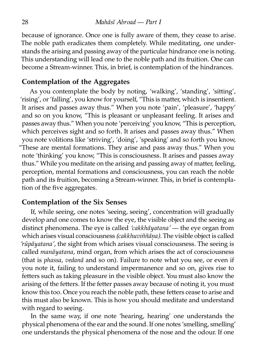because of ignorance. Once one is fully aware of them, they cease to arise. The noble path eradicates them completely. While meditating, one understands the arising and passing away of the particular hindrance one is noting. This understanding will lead one to the noble path and its fruition. One can become a Stream-winner. This, in brief, is contemplation of the hindrances.

#### **Contemplation of the Aggregates**

As you contemplate the body by noting, 'walking', 'standing', 'sitting', 'rising', or 'falling', you know for yourself, "This is matter, which is insentient. It arises and passes away thus." When you note 'pain', 'pleasure', 'happy' and so on you know, "This is pleasant or unpleasant feeling. It arises and passes away thus." When you note 'perceiving' you know, "This is perception, which perceives sight and so forth. It arises and passes away thus." When you note volitions like 'striving', 'doing', 'speaking' and so forth you know, "These are mental formations. They arise and pass away thus." When you note 'thinking' you know, "This is consciousness. It arises and passes away thus." While you meditate on the arising and passing away of matter, feeling, perception, mental formations and consciousness, you can reach the noble path and its fruition, becoming a Stream-winner. This, in brief is contemplation of the five aggregates.

#### **Contemplation of the Six Senses**

If, while seeing, one notes 'seeing, seeing', concentration will gradually develop and one comes to know the eye, the visible object and the seeing as distinct phenomena. The eye is called 'cakkhāyatana' — the eye organ from which arises visual consciousness *(cakkhuviññāṇa).* The visible object is called 'rūpāyatana', the sight from which arises visual consciousness. The seeing is called *manāyatana*, mind organ, from which arises the act of consciousness (that is *phassa, vedanā* and so on). Failure to note what you see, or even if you note it, failing to understand impermanence and so on, gives rise to fetters such as taking pleasure in the visible object. You must also know the arising of the fetters. If the fetter passes away because of noting it, you must know this too. Once you reach the noble path, these fetters cease to arise and this must also be known. This is how you should meditate and understand with regard to seeing.

In the same way, if one note 'hearing, hearing' one understands the physical phenomena of the ear and the sound. If one notes 'smelling, smelling' one understands the physical phenomena of the nose and the odour. If one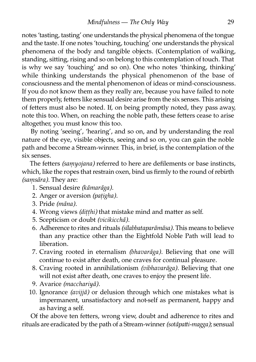notes 'tasting, tasting' one understands the physical phenomena of the tongue and the taste. If one notes 'touching, touching' one understands the physical phenomena of the body and tangible objects. (Contemplation of walking, standing, sitting, rising and so on belong to this contemplation of touch. That is why we say 'touching' and so on). One who notes 'thinking, thinking' while thinking understands the physical phenomenon of the base of consciousness and the mental phenomenon of ideas or mind-consciousness. If you do not know them as they really are, because you have failed to note them properly, fetters like sensual desire arise from the six senses. This arising of feers must also be noted. If, on being promptly noted, they pass away, note this too. When, on reaching the noble path, these fetters cease to arise altogether, you must know this too.

By noting 'seeing', 'hearing', and so on, and by understanding the real nature of the eye, visible objects, seeing and so on, you can gain the noble path and become a Stream-winner. This, in brief, is the contemplation of the six senses.

The fetters *(samyojana)* referred to here are defilements or base instincts, which, like the ropes that restrain oxen, bind us firmly to the round of rebirth *(saṃsāra).* They are:

- 1. Sensual desire *(kāmarāga).*
- 2. Anger or aversion *(paṭigha).*
- 3. Pride *(māna).*
- 4. Wrong views *(ditthi)* that mistake mind and matter as self.
- 5. Scepticism or doubt *(vicikicchā).*
- 6. Adherence to rites and rituals *(sīlabbataparāmāsa).* This means to believe than any practice other than the Eightfold Noble Path will lead to liberation.
- 7. Craving rooted in eternalism *(bhavarāga).* Believing that one will continue to exist after death, one craves for continual pleasure.
- 8. Craving rooted in annihilationism *(vibhavarāga).* Believing that one will not exist after death, one craves to enjoy the present life.
- 9. Avarice *(macchariyā).*
- 10. Ignorance *(avijjā)* or delusion through which one mistakes what is impermanent, unsatisfactory and not-self as permanent, happy and as having a self.

Of the above ten fetters, wrong view, doubt and adherence to rites and rituals are eradicated by the path of a Stream-winner *(sotāpatti-magga)*; sensual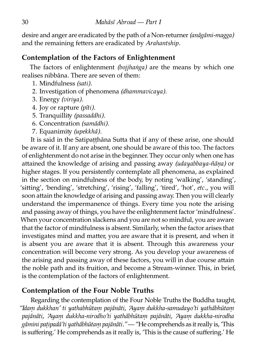desire and anger are eradicated by the path of a Non-returner*(anāgāmi-magga)* and the remaining fetters are eradicated by Arahantship.

### **Contemplation of the Factors of Enlightenment**

The factors of enlightenment *(bojjhaṅga)* are the means by which one realises nibbāna. There are seven of them:

- 1. Mindfulness *(sati).*
- 2. Investigation of phenomena *(dhammavicaya).*
- 3. Energy *(viriya).*
- 4. Joy or rapture *(pīti).*
- 5. Tranquillity (passaddhi).
- 6. Concentration *(samādhi)*.
- 7. Equanimity (upekkhā).

It is said in the Satipatthāna Sutta that if any of these arise, one should be aware of it. If any are absent, one should be aware of this too. The factors of enlightenment do not arise in the beginner. They occur only when one has attained the knowledge of arising and passing away *(udayabbaya-ñāna)* or higher stages. If you persistently contemplate all phenomena, as explained in the section on mindfulness of the body, by noting 'walking', 'standing', 'sitting', 'bending', 'stretching', 'rising', 'falling', 'tired', 'hot', *etc.*, you will soon attain the knowledge of arising and passing away. Then you will clearly understand the impermanence of things. Every time you note the arising and passing away of things, you have the enlightenment factor 'mindfulness'. When your concentration slackens and you are not so mindful, you are aware that the factor of mindfulness is absent. Similarly, when the factor arises that investigates mind and matter, you are aware that it is present, and when it is absent you are aware that it is absent. Through this awareness your concentration will become very strong. As you develop your awareness of the arising and passing away of these factors, you will in due course attain the noble path and its fruition, and become a Stream-winner. This, in brief, is the contemplation of the factors of enlightenment.

### **Contemplation of the Four Noble Truths**

Regarding the contemplation of the Four Noble Truths the Buddha taught, *"Idaṃ dukkhan' ti yathabhūtaṃ pajānāti, 'Ayaṃ dukkha-samudayo'ti yathābhūtaṃ pajānāti, 'Ayaṃ dukkha-nirodho'ti yathābhūtaṃ pajānāti, 'Ayaṃ dukkha-nirodha gāmini paṭipadā'ti yathābhūtaṃ pajānāti."*— "He comprehends as it really is, 'This is suffering.' He comprehends as it really is, 'This is the cause of suffering.' He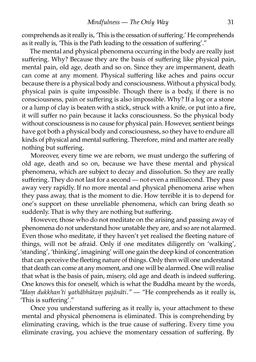comprehends as it really is, 'This is the cessation of suffering.' He comprehends as it really is, 'This is the Path leading to the cessation of suffering'."

The mental and physical phenomena occurring in the body are really just suffering. Why? Because they are the basis of suffering like physical pain, mental pain, old age, death and so on. Since they are impermanent, death can come at any moment. Physical suffering like aches and pains occur because there is a physical body and consciousness. Without a physical body, physical pain is quite impossible. Though there is a body, if there is no consciousness, pain or suffering is also impossible. Why? If a log or a stone or a lump of clay is beaten with a stick, struck with a knife, or put into a fire, it will suffer no pain because it lacks consciousness. So the physical body without consciousness is no cause for physical pain. However, sentient beings have got both a physical body and consciousness, so they have to endure all kinds of physical and mental suffering. Therefore, mind and matter are really nothing but suffering.

Moreover, every time we are reborn, we must undergo the suffering of old age, death and so on, because we have these mental and physical phenomena, which are subject to decay and dissolution. So they are really suffering. They do not last for a second — not even a millisecond. They pass away very rapidly. If no more mental and physical phenomena arise when they pass away, that is the moment to die. How terrible it is to depend for one's support on these unreliable phenomena, which can bring death so suddenly. That is why they are nothing but suffering.

However, those who do not meditate on the arising and passing away of phenomena do not understand how unstable they are, and so are not alarmed. Even those who meditate, if they haven't yet realised the fleeting nature of things, will not be afraid. Only if one meditates diligently on 'walking', 'standing', 'thinking', imagining' will one gain the deep kind of concentration that can perceive the fleeting nature of things. Only then will one understand that death can come at any moment, and one will be alarmed. One will realise that what is the basis of pain, misery, old age and death is indeed suffering. One knows this for oneself, which is what the Buddha meant by the words, *"Idaṃ dukkhan'ti yathābhūtaṃ pajānāti."* — "He comprehends as it really is, 'This is suffering'."

Once you understand suffering as it really is, your attachment to these mental and physical phenomena is eliminated. This is comprehending by eliminating craving, which is the true cause of suffering. Every time you eliminate craving, you achieve the momentary cessation of suffering. By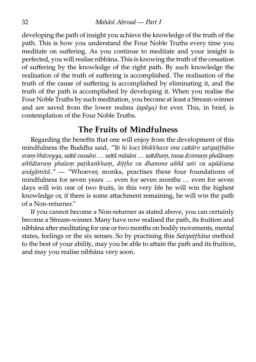developing the path of insight you achieve the knowledge of the truth of the path. This is how you understand the Four Noble Truths every time you meditate on suffering. As you continue to meditate and your insight is perfected, you will realise nibbāna. This is knowing the truth of the cessation of suffering by the knowledge of the right path. By such knowledge the realisation of the truth of suffering is accomplished. The realisation of the truth of the cause of suffering is accomplished by eliminating it, and the truth of the path is accomplished by developing it. When you realise the Four Noble Truths by such meditation, you become at least a Stream-winner and are saved from the lower realms *(apaya)* for ever. This, in brief, is contemplation of the Four Noble Truths.

### **The Fruits of Mindfulness**

Regarding the benefits that one will enjoy from the development of this mindfulness the Buddha said, "Yo hi koci bhikkhave ime cattāro satipatthāne *evaṃ bhāveyya, saā vassāni … saā māsāni … saāhaṃ, tassa dvinnaṃ phalānaṃ aññātaraṃ phalaṃ paṭikaṅkhaṃ, diṭṭhe va dhamme aññā sati va upādisesa anāgāmitā."* — "Whoever, monks, practises these four foundations of mindfulness for seven years … even for seven months … even for seven days will win one of two fruits, in this very life he will win the highest knowledge or, if there is some attachment remaining, he will win the path of a Non-returner."

If you cannot become a Non-returner as stated above, you can certainly become a Stream-winner. Many have now realised the path, its fruition and nibbāna after meditating for one or two months on bodily movements, mental states, feelings or the six senses. So by practising this *Satipaṭṭhāna* method to the best of your ability, may you be able to attain the path and its fruition, and may you realise nibbāna very soon.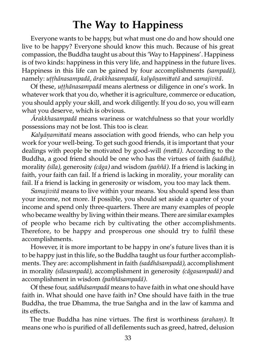# **The Way to Happiness**

Everyone wants to be happy, but what must one do and how should one live to be happy? Everyone should know this much. Because of his great compassion, the Buddha taught us about this 'Way to Happiness'. Happiness is of two kinds: happiness in this very life, and happiness in the future lives. Happiness in this life can be gained by four accomplishments *(sampadā),* namely: *uṭṭhānasampadā, ārakkhasampadā, kalyāṇamiatā* and *samajivitā.*

Of these, *uṭṭhānasampadā* means alertness or diligence in one's work. In whatever work that you do, whether it is agriculture, commerce or education, you should apply your skill, and work diligently. If you do so, you will earn what you deserve, which is obvious.

*Ārakkhasampadā* means wariness or watchfulness so that your worldly possessions may not be lost. This too is clear.

*Kalyānamittatā* means association with good friends, who can help you work for your well-being. To get such good friends, it is important that your dealings with people be motivated by good-will *(metta)*. According to the Buddha, a good friend should be one who has the virtues of faith *(saddhā)*, morality (sīla), generosity (cāga) and wisdom (paññā). If a friend is lacking in faith, your faith can fail. If a friend is lacking in morality, your morality can fail. If a friend is lacking in generosity or wisdom, you too may lack them.

*Samajivitā* means to live within your means. You should spend less than your income, not more. If possible, you should set aside a quarter of your income and spend only three-quarters. There are many examples of people who became wealthy by living within their means. There are similar examples of people who became rich by cultivating the other accomplishments. Therefore, to be happy and prosperous one should try to fulfil these accomplishments.

However, it is more important to be happy in one's future lives than it is to be happy just in this life, so the Buddha taught us four further accomplishments. They are: accomplishment in faith *(saddhāsampadā)*, accomplishment in morality (sīlasampadā), accomplishment in generosity (cāgasampadā) and accomplishment in wisdom *(paññāsampadā).*

Of these four,*saddhāsampadā* means to have faith in what one should have faith in. What should one have faith in? One should have faith in the true Buddha, the true Dhamma, the true Saṅgha and in the law of kamma and its effects.

The true Buddha has nine virtues. The first is worthiness *(araham)*. It means one who is purified of all defilements such as greed, hatred, delusion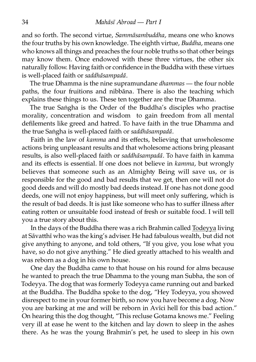and so forth. The second virtue, *Sammāsambuddha,* means one who knows the four truths by his own knowledge. The eighth virtue, *Buddha*, means one who knows all things and preaches the four noble truths so that other beings may know them. Once endowed with these three virtues, the other six naturally follow. Having faith or confidence in the Buddha with these virtues is well-placed faith or *saddhāsampadā.*

The true Dhamma is the nine supramundane *dhammas* — the four noble paths, the four fruitions and nibbāna. There is also the teaching which explains these things to us. These ten together are the true Dhamma.

The true Saṅgha is the Order of the Buddha's disciples who practise morality, concentration and wisdom to gain freedom from all mental defilements like greed and hatred. To have faith in the true Dhamma and the true Saṅgha is well-placed faith or *saddhāsampadā*.

Faith in the law of *kamma* and its effects, believing that unwholesome actions bring unpleasant results and that wholesome actions bring pleasant results, is also well-placed faith or *saddhāsampadā.* To have faith in kamma and its effects is essential. If one does not believe in *kamma,* but wrongly believes that someone such as an Almighty Being will save us, or is responsible for the good and bad results that we get, then one will not do good deeds and will do mostly bad deeds instead. If one has not done good deeds, one will not enjoy happiness, but will meet only suffering, which is the result of bad deeds. It is just like someone who has to suffer illness after eating rotten or unsuitable food instead of fresh or suitable food. I will tell you a true story about this.

In the days of the Buddha there was a rich Brahmin called [Todeyya](http://www.aimwell.org/DPPN/todeyya.htm) living at Sāvatthī who was the king's adviser. He had fabulous wealth, but did not give anything to anyone, and told others, "If you give, you lose what you have, so do not give anything." He died greatly attached to his wealth and was reborn as a dog in his own house.

One day the Buddha came to that house on his round for alms because he wanted to preach the true Dhamma to the young man Subha, the son of Todeyya. The dog that was formerly Todeyya came running out and barked at the Buddha. The Buddha spoke to the dog, "Hey Todeyya, you showed disrespect to me in your former birth, so now you have become a dog. Now you are barking at me and will be reborn in Avīci hell for this bad action." On hearing this the dog thought, "This recluse Gotama knows me." Feeling very ill at ease he went to the kitchen and lay down to sleep in the ashes there. As he was the young Brahmin's pet, he used to sleep in his own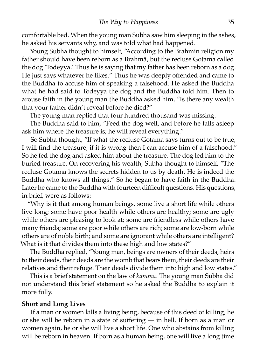comfortable bed. When the young man Subha saw him sleeping in the ashes, he asked his servants why, and was told what had happened.

Young Subha thought to himself, "According to the Brahmin religion my father should have been reborn as a Brahmā, but the recluse Gotama called the dog 'Todeyya.' Thus he is saying that my father has been reborn as a dog. He just says whatever he likes." Thus he was deeply offended and came to the Buddha to accuse him of speaking a falsehood. He asked the Buddha what he had said to Todeyya the dog and the Buddha told him. Then to arouse faith in the young man the Buddha asked him, "Is there any wealth that your father didn't reveal before he died?"

The young man replied that four hundred thousand was missing.

The Buddha said to him, "Feed the dog well, and before he falls asleep ask him where the treasure is; he will reveal everything."

So Subha thought, "If what the recluse Gotama says turns out to be true, I will find the treasure; if it is wrong then I can accuse him of a falsehood." So he fed the dog and asked him about the treasure. The dog led him to the buried treasure. On recovering his wealth, Subha thought to himself, "The recluse Gotama knows the secrets hidden to us by death. He is indeed the Buddha who knows all things." So he began to have faith in the Buddha. Later he came to the Buddha with fourteen difficult questions. His questions, in brief, were as follows:

"Why is it that among human beings, some live a short life while others live long; some have poor health while others are healthy; some are ugly while others are pleasing to look at; some are friendless while others have many friends; some are poor while others are rich; some are low-born while others are of noble birth; and some are ignorant while others are intelligent? What is it that divides them into these high and low states?"

The Buddha replied, "Young man, beings are owners of their deeds, heirs to their deeds, their deeds are the womb that bears them, their deeds are their relatives and their refuge. Their deeds divide them into high and low states."

This is a brief statement on the law of *kamma.* The young man Subha did not understand this brief statement so he asked the Buddha to explain it more fully.

#### **Short and Long Lives**

If a man or women kills a living being, because of this deed of killing, he or she will be reborn in a state of suffering — in hell. If born as a man or women again, he or she will live a short life. One who abstains from killing will be reborn in heaven. If born as a human being, one will live a long time.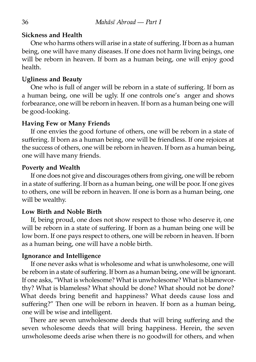#### **Sickness and Health**

One who harms others will arise in a state of suffering. If born as a human being, one will have many diseases. If one does not harm living beings, one will be reborn in heaven. If born as a human being, one will enjoy good health.

#### **Ugliness and Beau**

One who is full of anger will be reborn in a state of suffering. If born as a human being, one will be ugly. If one controls one's anger and shows forbearance, one will be reborn in heaven. If born as a human being one will be good-looking.

#### **Having Few or Many Friends**

If one envies the good fortune of others, one will be reborn in a state of suffering. If born as a human being, one will be friendless. If one rejoices at the success of others, one will be reborn in heaven. If born as a human being, one will have many friends.

#### **Poverty and Wealth**

If one does not give and discourages others from giving, one will be reborn in a state of suffering. If born as a human being, one will be poor. If one gives to others, one will be reborn in heaven. If one is born as a human being, one will be wealthy.

#### **Low Birth and Noble Birth**

If, being proud, one does not show respect to those who deserve it, one will be reborn in a state of suffering. If born as a human being one will be low born. If one pays respect to others, one will be reborn in heaven. If born as a human being, one will have a noble birth.

#### **Ignorance and Intelligence**

If one never asks what is wholesome and what is unwholesome, one will be reborn in a state of suffering. If born as a human being, one will be ignorant. If one asks, "What is wholesome? What is unwholesome? What is blameworthy? What is blameless? What should be done? What should not be done? What deeds bring benefit and happiness? What deeds cause loss and suffering?" Then one will be reborn in heaven. If born as a human being, one will be wise and intelligent.

There are seven unwholesome deeds that will bring suffering and the seven wholesome deeds that will bring happiness. Herein, the seven unwholesome deeds arise when there is no goodwill for others, and when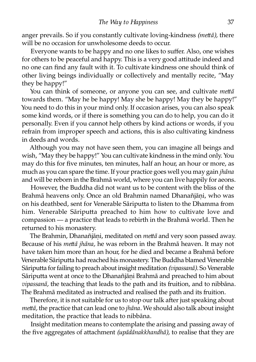anger prevails. So if you constantly cultivate loving-kindness (mettā), there will be no occasion for unwholesome deeds to occur.

Everyone wants to be happy and no one likes to suffer. Also, one wishes for others to be peaceful and happy. This is a very good attitude indeed and no one can find any fault with it. To cultivate kindness one should think of other living beings individually or collectively and mentally recite, "May they be happy!"

You can think of someone, or anyone you can see, and cultivate *metta* towards them. "May he be happy! May she be happy! May they be happy!" You need to do this in your mind only. If occasion arises, you can also speak some kind words, or if there is something you can do to help, you can do it personally. Even if you cannot help others by kind actions or words, if you refrain from improper speech and actions, this is also cultivating kindness in deeds and words.

Although you may not have seen them, you can imagine all beings and wish, "May they be happy!" You can cultivate kindness in the mind only. You may do this for five minutes, ten minutes, half an hour, an hour or more, as much as you can spare the time. If your practice goes well you may gain *jhāna* and will be reborn in the Brahmā world, where you can live happily for aeons.

However, the Buddha did not want us to be content with the bliss of the Brahmā heavens only. Once an old Brahmin named Dhanañjāni, who was on his deathbed, sent for Venerable Sāriputta to listen to the Dhamma from him. Venerable Sāriputta preached to him how to cultivate love and compassion — a practice that leads to rebirth in the Brahmā world. Then he returned to his monastery.

The Brahmin, Dhanañjāni, meditated on *mettā* and very soon passed away. Because of his *mettā jhāna*, he was reborn in the Brahmā heaven. It may not have taken him more than an hour, for he died and became a Brahmā before Venerable Sāriputta had reached his monastery. The Buddha blamed Venerable Sāriputta for failing to preach about insight meditation *(vipassanā)*. So Venerable Sāriputta went at once to the Dhanañjāni Brahmā and preached to him about *vipassanā*, the teaching that leads to the path and its fruition, and to nibbāna. The Brahmā meditated as instructed and realised the path and its fruition.

Therefore, it is not suitable for us to stop our talk after just speaking about *meā,* the practice that can lead one to *jhāna.* We should also talk about insight meditation, the practice that leads to nibbāna.

Insight meditation means to contemplate the arising and passing away of the five aggregates of attachment *(upādānakkhandhā)*, to realise that they are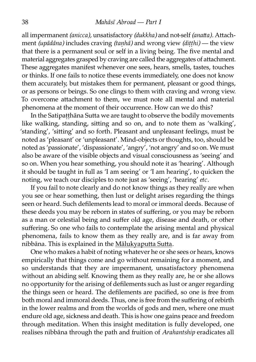all impermanent *(anicca)*, unsatisfactory *(dukkha)* and not-self *(anatta)*. Attachment *(upādāna)* includes craving *(taṇhā)* and wrong view *(diṭṭhi)* — the view that there is a permanent soul or self in a living being. The five mental and material aggregates grasped by craving are called the aggregates of attachment. These aggregates manifest whenever one sees, hears, smells, tastes, touches or thinks. If one fails to notice these events immediately, one does not know them accurately, but mistakes them for permanent, pleasant or good things, or as persons or beings. So one clings to them with craving and wrong view. To overcome attachment to them, we must note all mental and material phenomena at the moment of their occurrence. How can we do this?

In the Satipatthāna Sutta we are taught to observe the bodily movements like walking, standing, sitting and so on, and to note them as 'walking', 'standing', 'sitting' and so forth. Pleasant and unpleasant feelings, must be noted as 'pleasant' or 'unpleasant'. Mind-objects or thoughts, too, should be noted as 'passionate', 'dispassionate', 'angry', 'not angry' and so on. We must also be aware of the visible objects and visual consciousness as 'seeing' and so on. When you hear something, you should note it as 'hearing'. Although it should be taught in full as 'I am seeing' or 'I am hearing', to quicken the noting, we teach our disciples to note just as 'seeing', 'hearing' *etc.*

If you fail to note clearly and do not know things as they really are when you see or hear something, then lust or delight arises regarding the things seen or heard. Such defilements lead to moral or immoral deeds. Because of these deeds you may be reborn in states of suffering, or you may be reborn as a man or celestial being and suffer old age, disease and death, or other suffering. So one who fails to contemplate the arising mental and physical phenomena, fails to know them as they really are, and is far away from nibbāna. This is explained in the Mālukyaputta Sutta.

One who makes a habit of noting whatever he or she sees or hears, knows empirically that things come and go without remaining for a moment, and so understands that they are impermanent, unsatisfactory phenomena without an abiding self. Knowing them as they really are, he or she allows no opportunity for the arising of defilements such as lust or anger regarding the things seen or heard. The defilements are pacified, so one is free from both moral and immoral deeds. Thus, one is free from the suffering of rebirth in the lower realms and from the worlds of gods and men, where one must endure old age, sickness and death. This is how one gains peace and freedom through meditation. When this insight meditation is fully developed, one realises nibbāna through the path and fruition of *Arahantship* eradicates all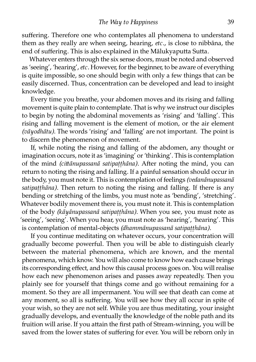suffering. Therefore one who contemplates all phenomena to understand them as they really are when seeing, hearing, *etc.,* is close to nibbāna, the end of suffering. This is also explained in the Mālukyaputta Sutta.

Whatever enters through the six sense doors, must be noted and observed as 'seeing', 'hearing',*etc.* However, for the beginner, to be aware of everything is quite impossible, so one should begin with only a few things that can be easily discerned. Thus, concentration can be developed and lead to insight knowledge.

Every time you breathe, your abdomen moves and its rising and falling movement is quite plain to contemplate. That is why we instruct our disciples to begin by noting the abdominal movements as 'rising' and 'falling'. This rising and falling movement is the element of motion, or the air element *(vāyodhātu)*. The words 'rising' and 'falling' are not important. The point is to discern the phenomenon of movement.

If, while noting the rising and falling of the abdomen, any thought or imagination occurs, note it as 'imagining' or 'thinking'. This is contemplation of the mind *(cittānupassanā satipaṭṭhāna)*. After noting the mind, you can return to noting the rising and falling. If a painful sensation should occur in the body, you must note it. This is contemplation of feelings *(vedanānupassanā satipaṭṭhāna).* Then return to noting the rising and falling. If there is any bending or stretching of the limbs, you must note as 'bending', 'stretching'. Whatever bodily movement there is, you must note it. This is contemplation of the body *(kāyānupassanā satipaṭṭhāna).* When you see, you must note as 'seeing', 'seeing'. When you hear, you must note as 'hearing', 'hearing'. This is contemplation of mental-objects *(dhammānupassanā satipaṭṭhāna).*

If you continue meditating on whatever occurs, your concentration will gradually become powerful. Then you will be able to distinguish clearly between the material phenomena, which are known, and the mental phenomena, which know. You will also come to know how each cause brings its corresponding effect, and how this causal process goes on. You will realise how each new phenomenon arises and passes away repeatedly. Then you plainly see for yourself that things come and go without remaining for a moment. So they are all impermanent. You will see that death can come at any moment, so all is suffering. You will see how they all occur in spite of your wish, so they are not self. While you are thus meditating, your insight gradually develops, and eventually the knowledge of the noble path and its fruition will arise. If you attain the first path of Stream-winning, you will be saved from the lower states of suffering for ever. You will be reborn only in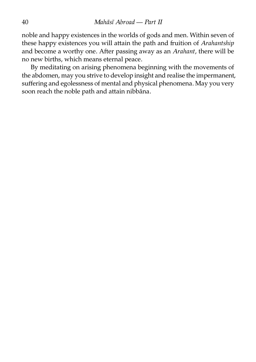noble and happy existences in the worlds of gods and men. Within seven of these happy existences you will attain the path and fruition of *Arahantship* and become a worthy one. After passing away as an *Arahant*, there will be no new births, which means eternal peace.

By meditating on arising phenomena beginning with the movements of the abdomen, may you strive to develop insight and realise the impermanent, suffering and egolessness of mental and physical phenomena. May you very soon reach the noble path and attain nibbāna.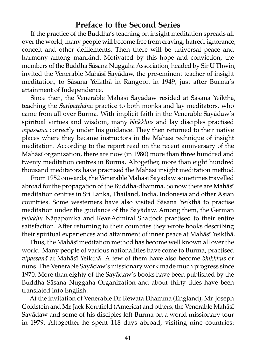#### **Preface to the Second Series**

If the practice of the Buddha's teaching on insight meditation spreads all over the world, many people will become free from craving, hatred, ignorance, conceit and other defilements. Then there will be universal peace and harmony among mankind. Motivated by this hope and conviction, the members of the Buddha Sāsana Nuggaha Association, headed by Sir U Thwin, invited the Venerable Mahāsī Sayādaw, the pre-eminent teacher of insight meditation, to Sāsana Yeikthā in Rangoon in 1949, just after Burma's attainment of Independence.

Since then, the Venerable Mahāsī Sayādaw resided at Sāsana Yeikthā, teaching the *Satipaṭṭhāna* practice to both monks and lay meditators, who came from all over Burma. With implicit faith in the Venerable Sayādaw's spiritual virtues and wisdom, many *bhikkhus* and lay disciples practised *vipassanā* correctly under his guidance. They then returned to their native places where they became instructors in the Mahāsī technique of insight meditation. According to the report read on the recent anniversary of the Mahāsī organization, there are now (in 1980) more than three hundred and twenty meditation centres in Burma. Altogether, more than eight hundred thousand meditators have practised the Mahāsī insight meditation method.

From 1952 onwards, the Venerable Mahāsī Sayādaw sometimes travelled abroad for the propagation of the Buddha-dhamma. So now there are Mahāsī meditation centres in Sri Lanka, Thailand, India, Indonesia and other Asian countries. Some westerners have also visited Sāsana Yeikthā to practise meditation under the guidance of the Sayādaw. Among them, the German *bhikkhu* Ñānaponika and Rear-Admiral Shattock practised to their entire satisfaction. After returning to their countries they wrote books describing their spiritual experiences and attainment of inner peace at Mahāsī Yeikthā.

Thus, the Mahāsī meditation method has become well known all over the world. Many people of various nationalities have come to Burma, practised *vipassanā* at Mahāsī Yeikthā. A few of them have also become *bhikkhus* or nuns. The Venerable Sayādaw's missionary work made much progress since 1970. More than eighty of the Sayādaw's books have been published by the Buddha Sāsana Nuggaha Organization and about thirty titles have been anslated into English.

At the invitation of Venerable Dr. Rewata Dhamma (England), Mr. Joseph Goldstein and Mr. Jack Kornfield (America) and others, the Venerable Mahāsī Sayādaw and some of his disciples left Burma on a world missionary tour in 1979. Altogether he spent 118 days abroad, visiting nine countries: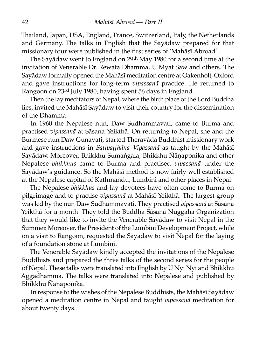Thailand, Japan, USA, England, France, Switzerland, Italy, the Netherlands and Germany. The talks in English that the Sayādaw prepared for that missionary tour were published in the first series of 'Mahāsī Abroad'.

The Sayādaw went to England on 29th May 1980 for a second time at the invitation of Venerable Dr. Rewata Dhamma, U Myat Saw and others. The Sayādaw formally opened the Mahāsī meditation centre at Oakenholt, Oxford and gave instructions for long-term *vipassanā* practice. He returned to Rangoon on 23rd July 1980, having spent 56 days in England.

Then the lay meditators of Nepal, where the birth place of the Lord Buddha lies, invited the Mahāsī Sayādaw to visit their country for the dissemination of the Dhamma.

In 1960 the Nepalese nun, Daw Sudhammavati, came to Burma and practised *vipassanā* at Sāsana Yeikthā. On returning to Nepal, she and the Burmese nun Daw Gunavati, started Theravāda Buddhist missionary work and gave instructions in *Satipatthāna Vipassanā* as taught by the Mahāsī Sayādaw. Moreover, Bhikkhu Sumaṅgala, Bhikkhu Ñāṇaponika and other Nepalese *bhikkhus* came to Burma and practised *vipassanā* under the Sayādaw's guidance. So the Mahāsī method is now fairly well established at the Nepalese capital of Kathmandu, Lumbini and other places in Nepal.

The Nepalese *bhikkhus* and lay devotees have often come to Burma on pilgrimage and to practise *vipassanā* at Mahāsī Yeikthā. The largest group was led by the nun Daw Sudhammavati. They practised *vipassanā* at Sāsana Yeikthā for a month. They told the Buddha Sāsana Nuggaha Organization that they would like to invite the Venerable Sayādaw to visit Nepal in the Summer. Moreover, the President of the Lumbini Development Project, while on a visit to Rangoon, requested the Sayādaw to visit Nepal for the laying of a foundation stone at Lumbini.

The Venerable Sayādaw kindly accepted the invitations of the Nepalese Buddhists and prepared the three talks of the second series for the people of Nepal. These talks were translated into English by U Nyi Nyi and Bhikkhu Aggadhamma. The talks were translated into Nepalese and published by Bhikkhu Ñāṇaponika.

In response to the wishes of the Nepalese Buddhists, the Mahāsī Sayādaw opened a meditation centre in Nepal and taught *vipassanā* meditation for about twenty days.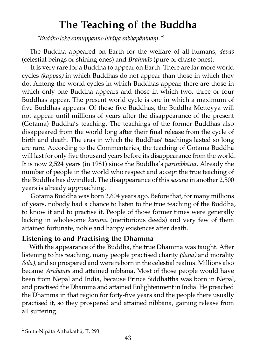# **The Teaching of the Buddha**

*"Buddho loke samuppanno hitāya sabbapāninaṃ."*¹

The Buddha appeared on Earth for the welfare of all humans, *devas* (celestial beings or shining ones) and *Brahmās* (pure or chaste ones).

It is very rare for a Buddha to appear on Earth. There are far more world cycles *(kappas)* in which Buddhas do not appear than those in which they do. Among the world cycles in which Buddhas appear, there are those in which only one Buddha appears and those in which two, three or four Buddhas appear. The present world cycle is one in which a maximum of five Buddhas appears. Of these five Buddhas, the Buddha Metteyya will not appear until millions of years after the disappearance of the present (Gotama) Buddha's teaching. The teachings of the former Buddhas also disappeared from the world long after their final release from the cycle of birth and death. The eras in which the Buddhas' teachings lasted so long are rare. According to the Commentaries, the teaching of Gotama Buddha will last for only five thousand years before its disappearance from the world. It is now 2,524 years (in 1981) since the Buddha's *parinibbāna.* Already the number of people in the world who respect and accept the true teaching of the Buddha has dwindled. The disappearance of this *sāsana* in another 2,500 years is already approaching.

Gotama Buddha was born 2,604 years ago. Before that, for many millions of years, nobody had a chance to listen to the true teaching of the Buddha, to know it and to practise it. People of those former times were generally lacking in wholesome *kamma* (meritorious deeds) and very few of them attained fortunate, noble and happy existences after death.

### **Listening to and Practising the Dhamma**

With the appearance of the Buddha, the true Dhamma was taught. After listening to his teaching, many people practised charity (dāna) and morality *(sīla),* and so prospered and were reborn in the celestial realms. Millions also became *Arahants* and attained nibbāna. Most of those people would have been from Nepal and India, because Prince Siddhattha was born in Nepal, and practised the Dhamma and attained Enlightenment in India. He preached the Dhamma in that region for forty-five years and the people there usually practised it, so they prospered and attained nibbāna, gaining release from all suffering.

<sup>&</sup>lt;sup>1</sup> Sutta-Nipāta Aṭṭhakathā, II, 293.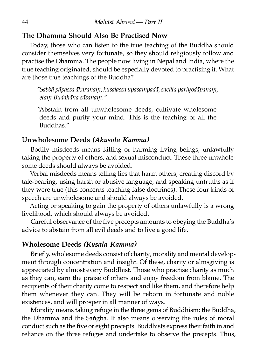#### **The Dhamma Should Also Be Practised Now**

Today, those who can listen to the true teaching of the Buddha should consider themselves very fortunate, so they should religiously follow and practise the Dhamma. The people now living in Nepal and India, where the true teaching originated, should be especially devoted to practising it. What are those true teachings of the Buddha?

*"Sabbā pāpassa ākaranaṃ, kusalassa upasampadā, sacia pariyodāpanaṃ, etaṃ Buddhāna sāsanaṃ."*

"Abstain from all unwholesome deeds, cultivate wholesome deeds and purify your mind. This is the teaching of all the Buddhas."

#### **Unwholesome Deeds** *(Akusala Kamma)*

Bodily misdeeds means killing or harming living beings, unlawfully taking the property of others, and sexual misconduct. These three unwholesome deeds should always be avoided.

Verbal misdeeds means telling lies that harm others, creating discord by tale-bearing, using harsh or abusive language, and speaking untruths as if they were true (this concerns teaching false doctrines). These four kinds of speech are unwholesome and should always be avoided.

Acting or speaking to gain the property of others unlawfully is a wrong livelihood, which should always be avoided.

Careful observance of the five precepts amounts to obeying the Buddha's advice to abstain from all evil deeds and to live a good life.

#### **Wholesome Deeds** *(Kusala Kamma)*

Briefly, wholesome deeds consist of charity, morality and mental development through concentration and insight. Of these, charity or almsgiving is appreciated by almost every Buddhist. Those who practise charity as much as they can, earn the praise of others and enjoy freedom from blame. The recipients of their charity come to respect and like them, and therefore help them whenever they can. They will be reborn in fortunate and noble existences, and will prosper in all manner of ways.

Morality means taking refuge in the three gems of Buddhism: the Buddha, the Dhamma and the Saṅgha. It also means observing the rules of moral conduct such as the five or eight precepts. Buddhists express their faith in and reliance on the three refuges and undertake to observe the precepts. Thus,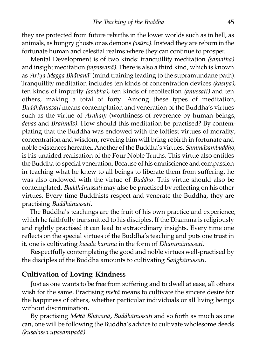they are protected from future rebirths in the lower worlds such as in hell, as animals, as hungry ghosts or as demons *(asūra).* Instead they are reborn in the fortunate human and celestial realms where they can continue to prosper.

Mental Development is of two kinds: tranquillity meditation *(samatha)* and insight meditation *(vipassanā).* There is also a third kind, which is known as *'Ariya Magga Bhāvanā'* (mind training leading to the supramundane path). Tranquillity meditation includes ten kinds of concentration devices *(kasina)*, ten kinds of impurity *(asubha)*, ten kinds of recollection *(anussati)* and ten others, making a total of forty. Among these types of meditation, *Buddhānussati* means contemplation and veneration of the Buddha's virtues such as the virtue of *Arahaṃ* (worthiness of reverence by human beings, *devas* and *Brahmās).* How should this meditation be practised? By contemplating that the Buddha was endowed with the loftiest virtues of morality, concentration and wisdom, revering him will bring rebirth in fortunate and noble existences hereafter. Another of the Buddha's virtues, *Sammāsambuddho*, is his unaided realisation of the Four Noble Truths. This virtue also entitles the Buddha to special veneration. Because of his omniscience and compassion in teaching what he knew to all beings to liberate them from suffering, he was also endowed with the virtue of *Buddho.* This virtue should also be contemplated. *Buddhānussati* may also be practised by reflecting on his other virtues. Every time Buddhists respect and venerate the Buddha, they are practising *Buddhānussati.*

The Buddha's teachings are the fruit of his own practice and experience, which he faithfully transmitted to his disciples. If the Dhamma is religiously and rightly practised it can lead to extraordinary insights. Every time one reflects on the special virtues of the Buddha's teaching and puts one trust in it, one is cultivating *kusala kamma* in the form of *Dhammānussati.*

Respectfully contemplating the good and noble virtues well-practised by the disciples of the Buddha amounts to cultivating *Saṅghānussati.*

#### **Cultivation of Loving-Kindness**

Just as one wants to be free from suffering and to dwell at ease, all others wish for the same. Practising *metta* means to cultivate the sincere desire for the happiness of others, whether particular individuals or all living beings without discrimination.

By practising Mettā Bhāvanā, Buddhānussati and so forth as much as one can, one will be following the Buddha's advice to cultivate wholesome deeds *(kusalassa upasampadā).*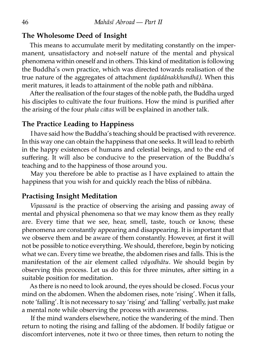#### **The Wholesome Deed of Insight**

This means to accumulate merit by meditating constantly on the impermanent, unsatisfactory and not-self nature of the mental and physical phenomena within oneself and in others. This kind of meditation is following the Buddha's own practice, which was directed towards realisation of the true nature of the aggregates of attachment *(upādānakkhandhā)*. When this merit matures, it leads to attainment of the noble path and nibbāna.

After the realisation of the four stages of the noble path, the Buddha urged his disciples to cultivate the four fruitions. How the mind is purified after the arising of the four *phala cittas* will be explained in another talk.

#### **The Practice Leading to Happiness**

I have said how the Buddha's teaching should be practised with reverence. In this way one can obtain the happiness that one seeks. It will lead to rebirth in the happy existences of humans and celestial beings, and to the end of suffering. It will also be conducive to the preservation of the Buddha's teaching and to the happiness of those around you.

May you therefore be able to practise as I have explained to attain the happiness that you wish for and quickly reach the bliss of nibbāna.

#### **Practising Insight Meditation**

*Vipassanā* is the practice of observing the arising and passing away of mental and physical phenomena so that we may know them as they really are. Every time that we see, hear, smell, taste, touch or know, these phenomena are constantly appearing and disappearing. It is important that we observe them and be aware of them constantly. However, at first it will not be possible to notice everything. We should, therefore, begin by noticing what we can. Every time we breathe, the abdomen rises and falls. This is the manifestation of the air element called *vāyodhātu.* We should begin by observing this process. Let us do this for three minutes, after sitting in a suitable position for meditation.

As there is no need to look around, the eyes should be closed. Focus your mind on the abdomen. When the abdomen rises, note 'rising'. When it falls, note 'falling'. It is not necessary to say 'rising' and 'falling' verbally, just make a mental note while observing the process with awareness.

If the mind wanders elsewhere, notice the wandering of the mind. Then return to noting the rising and falling of the abdomen. If bodily fatigue or discomfort intervenes, note it two or three times, then return to noting the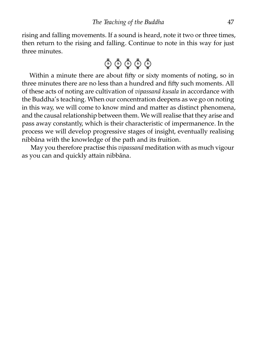rising and falling movements. If a sound is heard, note it two or three times, then return to the rising and falling. Continue to note in this way for just three minutes.

$$
\Phi \Phi \Phi \Phi
$$

Within a minute there are about fifty or sixty moments of noting, so in three minutes there are no less than a hundred and fifty such moments. All of these acts of noting are cultivation of *vipassanā kusala* in accordance with the Buddha's teaching. When our concentration deepens as we go on noting in this way, we will come to know mind and matter as distinct phenomena, and the causal relationship between them. We will realise that they arise and pass away constantly, which is their characteristic of impermanence. In the process we will develop progressive stages of insight, eventually realising nibbāna with the knowledge of the path and its fruition.

May you therefore practise this *vipassanā* meditation with as much vigour as you can and quickly attain nibbāna.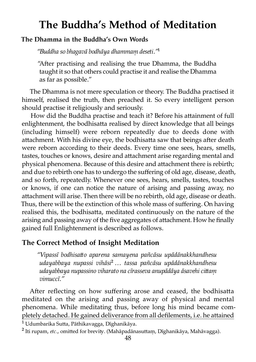# **The Buddha's Method of Meditation**

#### **The Dhamma in the Buddha's Own Words**

*"Buddha so bhagavā bodhāya dhammaṃ deseti."*¹

"After practising and realising the true Dhamma, the Buddha taught it so that others could practise it and realise the Dhamma as far as possible."

The Dhamma is not mere speculation or theory. The Buddha practised it himself, realised the truth, then preached it. So every intelligent person should practise it religiously and seriously.

How did the Buddha practise and teach it? Before his attainment of full enlightenment, the bodhisatta realised by direct knowledge that all beings (including himself) were reborn repeatedly due to deeds done with attachment. With his divine eye, the bodhisatta saw that beings after death were reborn according to their deeds. Every time one sees, hears, smells, tastes, touches or knows, desire and attachment arise regarding mental and physical phenomena. Because of this desire and attachment there is rebirth; and due to rebirth one has to undergo the suffering of old age, disease, death, and so forth, repeatedly. Whenever one sees, hears, smells, tastes, touches or knows, if one can notice the nature of arising and passing away, no attachment will arise. Then there will be no rebirth, old age, disease or death. Thus, there will be the extinction of this whole mass of suffering. On having realised this, the bodhisatta, meditated continuously on the nature of the arising and passing away of the five aggregates of attachment. How he finally gained full Enlightenment is described as follows.

#### **The Correct Method of Insight Meditation**

*"Vipassī bodhisao aparena samayena pañcāsu upādānakkhandhesu udayabbaya nupassi vihāsi*² *… tassa pañcāsu upādānakkhandhesu udayabbaya nupassino viharato na cīrasseva anupādāya āsavehi ciaṃ vimuccī."*

After reflecting on how suffering arose and ceased, the bodhisatta meditated on the arising and passing away of physical and mental phenomena. While meditating thus, before long his mind became completely detached. He gained deliverance from all defilements, i.e. he attained

<sup>&</sup>lt;sup>1</sup> Udumbarika Sutta, Pāthikavagga, Dīghanikāya.

<sup>&</sup>lt;sup>2</sup> Iti rupam, *etc.*, omitted for brevity. (Mahāpadānasuttam, Dīghanikāya, Mahāvagga).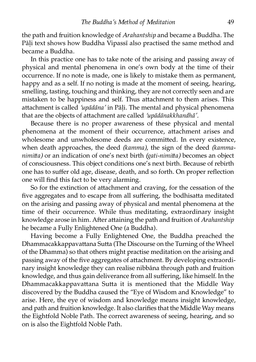the path and fruition knowledge of *Arahantship* and became a Buddha. The Pāli text shows how Buddha Vipassī also practised the same method and became a Buddha.

In this practice one has to take note of the arising and passing away of physical and mental phenomena in one's own body at the time of their occurrence. If no note is made, one is likely to mistake them as permanent, happy and as a self. If no noting is made at the moment of seeing, hearing, smelling, tasting, touching and thinking, they are not correctly seen and are mistaken to be happiness and self. Thus attachment to them arises. This attachment is called 'upādāna' in Pāli. The mental and physical phenomena that are the objects of attachment are called 'upādānakkhandhā'.

Because there is no proper awareness of these physical and mental phenomena at the moment of their occurrence, attachment arises and wholesome and unwholesome deeds are committed. In every existence, when death approaches, the deed *(kamma)*, the sign of the deed *(kammanimitta*) or an indication of one's next birth *(gati-nimitta)* becomes an object of consciousness. This object conditions one's next birth. Because of rebirth one has to suffer old age, disease, death, and so forth. On proper reflection one will find this fact to be very alarming.

So for the extinction of attachment and craving, for the cessation of the five aggregates and to escape from all suffering, the bodhisatta meditated on the arising and passing away of physical and mental phenomena at the time of their occurrence. While thus meditating, extraordinary insight knowledge arose in him. After attaining the path and fruition of *Arahantship* he became a Fully Enlightened One (a Buddha).

Having become a Fully Enlightened One, the Buddha preached the Dhammacakkappavattana Sutta (The Discourse on the Turning of the Wheel of the Dhamma) so that others might practise meditation on the arising and passing away of the five aggregates of attachment. By developing extraordinary insight knowledge they can realise nibbāna through path and fruition knowledge, and thus gain deliverance from all suffering, like himself. In the Dhammacakkappavattana Sutta it is mentioned that the Middle Way discovered by the Buddha caused the "Eye of Wisdom and Knowledge" to arise. Here, the eye of wisdom and knowledge means insight knowledge, and path and fruition knowledge. It also clarifies that the Middle Way means the Eightfold Noble Path. The correct awareness of seeing, hearing, and so on is also the Eightfold Noble Path.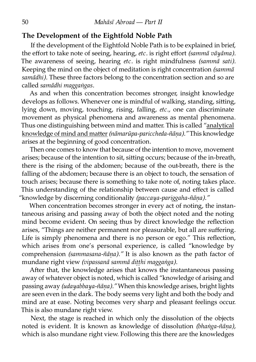#### **The Development of the Eightfold Noble Path**

If the development of the Eightfold Noble Path is to be explained in brief, the effort to take note of seeing, hearing, *etc.* is right effort *(sammā vāyāma).* The awareness of seeing, hearing *etc.* is right mindfulness *(sammā sati).* Keeping the mind on the object of meditation is right concentration *(sammā* samādhi). These three factors belong to the concentration section and so are called *samādhi maggaṅgas.*

As and when this concentration becomes stronger, insight knowledge develops as follows. Whenever one is mindful of walking, standing, sitting, lying down, moving, touching, rising, falling, *etc.,* one can discriminate movement as physical phenomena and awareness as mental phenomena. Thus one distinguishing between mind and matter. This is called "analytical knowledge of mind and matter (nāmarūpa-pariccheda-ñāna)." This knowledge arises at the beginning of good concentration.

Then one comes to know that because of the intention to move, movement arises; because of the intention to sit, siing occurs; because of the in-breath, there is the rising of the abdomen; because of the out-breath, there is the falling of the abdomen; because there is an object to touch, the sensation of touch arises; because there is something to take note of, noting takes place. This understanding of the relationship between cause and effect is called "knowledge by discerning conditionality *(paccaya-pariggaha-ñāna)."* 

When concentration becomes stronger in every act of noting, the instantaneous arising and passing away of both the object noted and the noting mind become evident. On seeing thus by direct knowledge the reflection arises, "Things are neither permanent nor pleasurable, but all are suffering. Life is simply phenomena and there is no person or ego." This reflection, which arises from one's personal experience, is called "knowledge by comprehension *(sammasana-ñāṇa)."* It is also known as the path factor of mundane right view *(vipassanā sammā diṭṭhi maggaṅga).*

After that, the knowledge arises that knows the instantaneous passing away of whatever object is noted, which is called "knowledge of arising and passing away *(udayabbaya-ñāṇa)."* When this knowledge arises, bright lights are seen even in the dark. The body seems very light and both the body and mind are at ease. Noting becomes very sharp and pleasant feelings occur. This is also mundane right view.

Next, the stage is reached in which only the dissolution of the objects noted is evident. It is known as knowledge of dissolution *(bhaṅga-ñāṇa),* which is also mundane right view. Following this there are the knowledges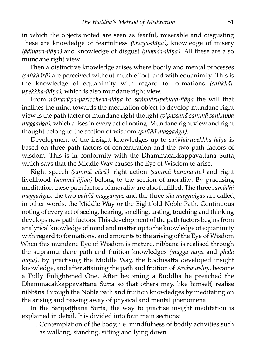in which the objects noted are seen as fearful, miserable and disgusting. These are knowledge of fearfulness *(bhaya-ñāṇa),* knowledge of misery *(ādīnava-ñāṇa)* and knowledge of disgust *(nibbida-ñāṇa).* All these are also mundane right view.

Then a distinctive knowledge arises where bodily and mental processes *(saṅkhārā)* are perceived without much effort, and with equanimity. This is the knowledge of equanimity with regard to formations (sankhār*upekkha-ñāṇa),* which is also mundane right view.

From *nāmarūpa-pariccheda-ñāṇa* to *saṅkhārupekkha-ñāṇa* the will that inclines the mind towards the meditation object to develop mundane right view is the path factor of mundane right thought *(vipassanā sammā saṅkappa maggaṅga),* which arises in every act of noting. Mundane right view and right thought belong to the section of wisdom *(paññā maggaṅga).*

Development of the insight knowledges up to *saṅkhārupekkha-ñāṇa* is based on three path factors of concentration and the two path factors of wisdom. This is in conformity with the Dhammacakkappavattana Sutta, which says that the Middle Way causes the Eye of Wisdom to arise.

Right speech *(sammā vācā),* right action *(sammā kammanta)* and right livelihood *(sammā ājīva)* belong to the section of morality. By practising meditation these path factors of morality are also fulfilled. The three *samādhi maggaṅgas,* the two *paññā maggaṅgas* and the three *sīla maggaṅgas* are called, in other words, the Middle Way or the Eightfold Noble Path. Continuous noting of every act of seeing, hearing, smelling, tasting, touching and thinking develops new path factors. This development of the path factors begins from analytical knowledge of mind and matter up to the knowledge of equanimity with regard to formations, and amounts to the arising of the Eye of Wisdom. When this mundane Eye of Wisdom is mature, nibbāna is realised through the supramundane path and fruition knowledges *(magga ñāna* and *phala*  $\tilde{n}$ *āna*). By practising the Middle Way, the bodhisatta developed insight knowledge, and after attaining the path and fruition of *Arahantship*, became a Fully Enlightened One. After becoming a Buddha he preached the Dhammacakkappavattana Sutta so that others may, like himself, realise nibbāna through the Noble path and fruition knowledges by meditating on the arising and passing away of physical and mental phenomena.

In the Satipatthāna Sutta, the way to practise insight meditation is explained in detail. It is divided into four main sections:

1. Contemplation of the body, i.e. mindfulness of bodily activities such as walking, standing, sitting and lying down.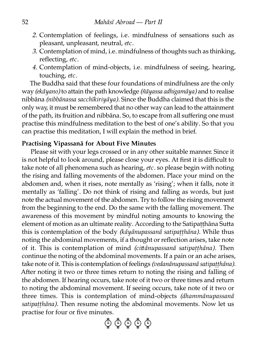- *2.* Contemplation of feelings, i.e. mindfulness of sensations such as pleasant, unpleasant, neutral, *etc.*
- *3.* Contemplation of mind, i.e. mindfulness of thoughts such as thinking, reflecting, *etc.*
- *4.* Contemplation of mind-objects, i.e. mindfulness of seeing, hearing, touching, *etc.*

The Buddha said that these four foundations of mindfulness are the only way *(ekāyano)* to attain the path knowledge *(ñāyassa adhigamāya)* and to realise nibbāna *(nibbānassa sacchīkiriyāya).* Since the Buddha claimed that this is the only way, it must be remembered that no other way can lead to the attainment of the path, its fruition and nibbāna. So, to escape from all suffering one must practise this mindfulness meditation to the best of one's ability. So that you can practise this meditation, I will explain the method in brief.

#### **Practising Vipassanā for About Five Minutes**

Please sit with your legs crossed or in any other suitable manner. Since it is not helpful to look around, please close your eyes. At first it is difficult to take note of all phenomena such as hearing, *etc.* so please begin with noting the rising and falling movements of the abdomen. Place your mind on the abdomen and, when it rises, note mentally as 'rising'; when it falls, note it mentally as 'falling'. Do not think of rising and falling as words, but just note the actual movement of the abdomen. Try to follow the rising movement from the beginning to the end. Do the same with the falling movement. The awareness of this movement by mindful noting amounts to knowing the element of motion as an ultimate reality. According to the Satipaṭṭhāna Sutta this is contemplation of the body *(kāyānupassanā satipaṭṭhāna).* While thus noting the abdominal movements, if a thought or reflection arises, take note of it. This is contemplation of mind *(ciānupassanā satipaṭṭhāna).* Then continue the noting of the abdominal movements. If a pain or an ache arises, take note of it. This is contemplation of feelings *(vedanānupassanā satipaṭṭhāna)*. After noting it two or three times return to noting the rising and falling of the abdomen. If hearing occurs, take note of it two or three times and return to noting the abdominal movement. If seeing occurs, take note of it two or three times. This is contemplation of mind-objects *(dhammānupassanā satipaṭṭhāna).* Then resume noting the abdominal movements. Now let us practise for four or five minutes.

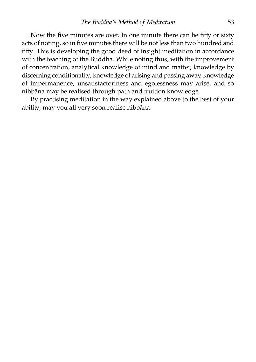Now the five minutes are over. In one minute there can be fifty or sixty acts of noting, so in five minutes there will be not less than two hundred and fifty. This is developing the good deed of insight meditation in accordance with the teaching of the Buddha. While noting thus, with the improvement of concentration, analytical knowledge of mind and matter, knowledge by discerning conditionality, knowledge of arising and passing away, knowledge of impermanence, unsatisfactoriness and egolessness may arise, and so nibbāna may be realised through path and fruition knowledge.

By practising meditation in the way explained above to the best of your ability, may you all very soon realise nibbāna.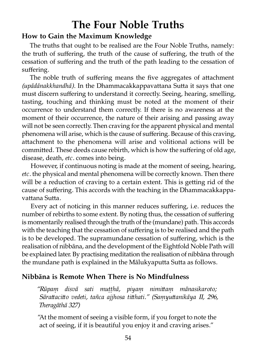# **The Four Noble Truths**

#### **How to Gain the Maximum Knowledge**

The truths that ought to be realised are the Four Noble Truths, namely: the truth of suffering, the truth of the cause of suffering, the truth of the cessation of suffering and the truth of the path leading to the cessation of suffering.

The noble truth of suffering means the five aggregates of attachment *(upādānakkhandhā)*. In the Dhammacakkappavattana Sutta it says that one must discern suffering to understand it correctly. Seeing, hearing, smelling, tasting, touching and thinking must be noted at the moment of their occurrence to understand them correctly. If there is no awareness at the moment of their occurrence, the nature of their arising and passing away will not be seen correctly. Then craving for the apparent physical and mental phenomena will arise, which is the cause of suffering. Because of this craving, attachment to the phenomena will arise and volitional actions will be committed. These deeds cause rebirth, which is how the suffering of old age, disease, death, *etc.* comes into being.

However, if continuous noting is made at the moment of seeing, hearing, *etc.* the physical and mental phenomena will be correctly known. Then there will be a reduction of craving to a certain extent. This is getting rid of the cause of suffering. This accords with the teaching in the Dhammacakkappavattana Sutta.

Every act of noticing in this manner reduces suffering, i.e. reduces the number of rebirths to some extent. By noting thus, the cessation of suffering is momentarily realised through the truth of the (mundane) path. This accords with the teaching that the cessation of suffering is to be realised and the path is to be developed. The supramundane cessation of suffering, which is the realisation of nibbāna, and the development of the Eightfold Noble Path will be explained later. By practising meditation the realisation of nibbāna through the mundane path is explained in the Mālukyaputta Sutta as follows.

#### **Nibbāna is Remote When There is No Mindfulness**

*"Rūpaṃ disvā sati muṭṭhā, piyaṃ nimiaṃ mānasikaroto;* Sārattacitto vedeti, tañca ajjhosa titthati." (Samyuttanikāya II, 296, *Theragāthā 327)*

"At the moment of seeing a visible form, if you forget to note the act of seeing, if it is beautiful you enjoy it and craving arises."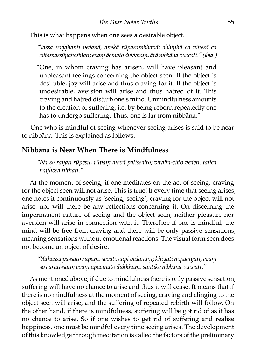This is what happens when one sees a desirable object.

*"Tassa vaḍḍhanti vedanā, anekā rūpasambhavā; abhijjhā ca vihesā ca, ciamassūpahaññati; evaṃ ācinato dukkhaṃ, ārā nibbāna vuccati." (Ibid.)*

"One, in whom craving has arisen, will have pleasant and unpleasant feelings concerning the object seen. If the object is desirable, joy will arise and thus craving for it. If the object is undesirable, aversion will arise and thus hatred of it. This craving and hatred disturb one's mind. Unmindfulness amounts to the creation of suffering, i.e. by being reborn repeatedly one has to undergo suffering. Thus, one is far from nibbāna."

One who is mindful of seeing whenever seeing arises is said to be near to nibbāna. This is explained as follows.

#### **Nibbāna is Near When There is Mindfulness**

"Na so rajjati rūpesu, rūpam disvā patissatto; viratta-citto vedeti, tañca *najjhosa tihati."*

At the moment of seeing, if one meditates on the act of seeing, craving for the object seen will not arise. This is true! If every time that seeing arises, one notes it continuously as 'seeing, seeing', craving for the object will not arise, nor will there be any reflections concerning it. On discerning the impermanent nature of seeing and the object seen, neither pleasure nor aversion will arise in connection with it. Therefore if one is mindful, the mind will be free from craving and there will be only passive sensations, meaning sensations without emotional reactions. The visual form seen does not become an object of desire.

*"Yathāssa passato rūpaṃ, sevato cāpi vedanaṃ; khiyati nopaciyati, evaṃ so caratissato; evaṃ apacinato dukkhaṃ, santike nibbāna vuccati."*

As mentioned above, if due to mindfulness there is only passive sensation, suffering will have no chance to arise and thus it will cease. It means that if there is no mindfulness at the moment of seeing, craving and clinging to the object seen will arise, and the suffering of repeated rebirth will follow. On the other hand, if there is mindfulness, suffering will be got rid of as it has no chance to arise. So if one wishes to get rid of suffering and realise happiness, one must be mindful every time seeing arises. The development of this knowledge through meditation is called the factors of the preliminary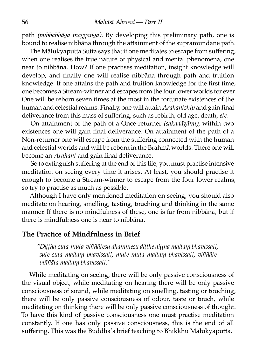path *(pubbabhāga maggaṅga).* By developing this preliminary path, one is bound to realise nibbāna through the attainment of the supramundane path.

The Mālukyaputta Sutta says that if one meditates to escape from suffering, when one realises the true nature of physical and mental phenomena, one near to nibbāna. How? If one practises meditation, insight knowledge will develop, and finally one will realise nibbāna through path and fruition knowledge. If one attains the path and fruition knowledge for the first time, one becomes a Stream-winner and escapes from the four lower worlds for ever. One will be reborn seven times at the most in the fortunate existences of the human and celestial realms. Finally, one will attain *Arahantship* and gain final deliverance from this mass of suffering, such as rebirth, old age, death, *etc*.

On attainment of the path of a Once-returner *(sakadāgāmi)*, within two existences one will gain final deliverance. On attainment of the path of a Non-returner one will escape from the suffering connected with the human and celestial worlds and will be reborn in the Brahmā worlds. There one will become an *Arahant* and gain final deliverance.

So to extinguish suffering at the end of this life, you must practise intensive meditation on seeing every time it arises. At least, you should practise it enough to become a Stream-winner to escape from the four lower realms, so try to practise as much as possible.

Although I have only mentioned meditation on seeing, you should also meditate on hearing, smelling, tasting, touching and thinking in the same manner. If there is no mindfulness of these, one is far from nibbāna, but if there is mindfulness one is near to nibbāna.

#### **The Practice of Mindfulness in Brief**

*"Diṭṭha-suta-muta-viññātesu dhammesu diṭṭhe diṭṭha maaṃ bhavissati,* sute suta mattam bhavissati, mute muta mattam bhavissati, viññāte  $viññāta$  mattam bhavissati."

While meditating on seeing, there will be only passive consciousness of the visual object, while meditating on hearing there will be only passive consciousness of sound, while meditating on smelling, tasting or touching, there will be only passive consciousness of odour, taste or touch, while meditating on thinking there will be only passive consciousness of thought. To have this kind of passive consciousness one must practise meditation constantly. If one has only passive consciousness, this is the end of all suffering. This was the Buddha's brief teaching to Bhikkhu Mālukyaputta.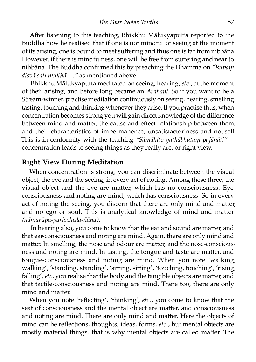After listening to this teaching, Bhikkhu Mālukyaputta reported to the Buddha how he realised that if one is not mindful of seeing at the moment of its arising, one is bound to meet suffering and thus one is far from nibbana. However, if there is mindfulness, one will be free from suffering and near to nibbāna. The Buddha confirmed this by preaching the Dhamma on *"Rupaṃ disvā sati muhā …"* as mentioned above.

Bhikkhu Mālukyaputta meditated on seeing, hearing, *etc.*, at the moment of their arising, and before long became an *Arahant.* So if you want to be a Stream-winner, practise meditation continuously on seeing, hearing, smelling, tasting, touching and thinking whenever they arise. If you practise thus, when concentration becomes strong you will gain direct knowledge of the difference between mind and matter, the cause-and-effect relationship between them, and their characteristics of impermanence, unsatisfactoriness and not-self. This is in conformity with the teaching "Sāmāhito yathābhutam pajānāti" concentration leads to seeing things as they really are, or right view.

#### **Right View During Meditation**

When concentration is strong, you can discriminate between the visual object, the eye and the seeing, in every act of noting. Among these three, the visual object and the eye are matter, which has no consciousness. Eyeconsciousness and noting are mind, which has consciousness. So in every act of noting the seeing, you discern that there are only mind and matter, and no ego or soul. This is analytical knowledge of mind and matter *(nāmarūpa-pariccheda-ñāṇa)*.

In hearing also, you come to know that the ear and sound are matter, and that ear-consciousness and noting are mind. Again, there are only mind and matter. In smelling, the nose and odour are matter, and the nose-consciousness and noting are mind. In tasting, the tongue and taste are matter, and tongue-consciousness and noting are mind. When you note 'walking, walking', 'standing, standing', 'sitting, sitting', 'touching, touching', 'rising, falling', etc. you realise that the body and the tangible objects are matter, and that tactile-consciousness and noting are mind. There too, there are only mind and matter.

When you note 'reflecting', 'thinking', *etc.,* you come to know that the seat of consciousness and the mental object are matter, and consciousness and noting are mind. There are only mind and matter. Here the objects of mind can be reflections, thoughts, ideas, forms, *etc.,* but mental objects are mostly material things, that is why mental objects are called matter. The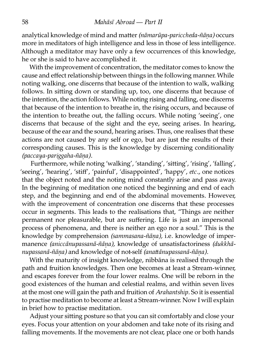analytical knowledge of mind and matter (nāmarūpa-pariccheda-ñāna) occurs more in meditators of high intelligence and less in those of less intelligence. Although a meditator may have only a few occurrences of this knowledge, he or she is said to have accomplished it.

With the improvement of concentration, the meditator comes to know the cause and effect relationship between things in the following manner. While noting walking, one discerns that because of the intention to walk, walking follows. In sitting down or standing up, too, one discerns that because of the intention, the action follows. While noting rising and falling, one discerns that because of the intention to breathe in, the rising occurs, and because of the intention to breathe out, the falling occurs. While noting 'seeing', one discerns that because of the sight and the eye, seeing arises. In hearing, because of the ear and the sound, hearing arises. Thus, one realises that these actions are not caused by any self or ego, but are just the results of their corresponding causes. This is the knowledge by discerning conditionali *(paccaya-pariggaha-ñāṇa).*

Furthermore, while noting 'walking', 'standing', 'sitting', 'rising', 'falling', 'seeing', 'hearing', 'stiff', 'painful', 'disappointed', 'happy', *etc.,* one notices that the object noted and the noting mind constantly arise and pass away. In the beginning of meditation one noticed the beginning and end of each step, and the beginning and end of the abdominal movements. However, with the improvement of concentration one discerns that these processes occur in segments. This leads to the realisations that, "Things are neither permanent nor pleasurable, but are suffering. Life is just an impersonal process of phenomena, and there is neither an ego nor a soul." This is the knowledge by comprehension *(sammasana-ñāṇa),* i.e. knowledge of impermanence *(aniccānupassanā-ñāṇa),* knowledge of unsatisfactoriness *(dukkhānupassanā-ñāṇa)* and knowledge of not-self *(anaānupassanā-ñāṇa).*

With the maturity of insight knowledge, nibbāna is realised through the path and fruition knowledges. Then one becomes at least a Stream-winner, and escapes forever from the four lower realms. One will be reborn in the good existences of the human and celestial realms, and within seven lives at the most one will gain the path and fruition of *Arahantship*. So it is essential to practise meditation to become at least a Stream-winner. Now I will explain in brief how to practise meditation.

Adjust your sitting posture so that you can sit comfortably and close your eyes. Focus your attention on your abdomen and take note of its rising and falling movements. If the movements are not clear, place one or both hands